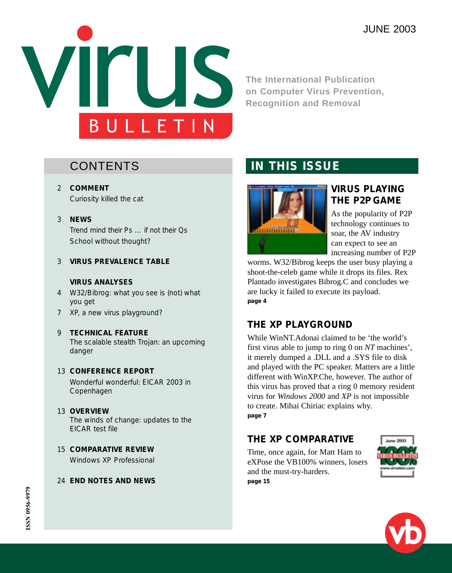

**The International Publication on Computer Virus Prevention, Recognition and Removal**

# **CONTENTS**

- 2 **COMMENT** Curiosity killed the cat
- 3 **NEWS**

Trend mind their Ps … if not their Qs School without thought?

3 **VIRUS PREVALENCE TABLE**

#### **VIRUS ANALYSES**

- 4 W32/Bibrog: what you see is (not) what you get
- 7 XP, a new virus playground?
- 9 **TECHNICAL FEATURE** The scalable stealth Trojan: an upcoming danger

#### 13 **CONFERENCE REPORT**

Wonderful wonderful: EICAR 2003 in Copenhagen

# 13 **OVERVIEW**

The winds of change: updates to the EICAR test file

15 **COMPARATIVE REVIEW** Windows XP Professional

### 24 **END NOTES AND NEWS**

# **IN THIS ISSUE**



### **VIRUS PLAYING THE P2P GAME**

As the popularity of P2P technology continues to soar, the AV industry can expect to see an increasing number of P2P

worms. W32/Bibrog keeps the user busy playing a shoot-the-celeb game while it drops its files. Rex Plantado investigates Bibrog.C and concludes we are lucky it failed to execute its payload. **page 4**

# **THE XP PLAYGROUND**

While WinNT.Adonai claimed to be 'the world's first virus able to jump to ring 0 on *NT* machines', it merely dumped a .DLL and a .SYS file to disk and played with the PC speaker. Matters are a little different with WinXP.Che, however. The author of this virus has proved that a ring 0 memory resident virus for *Windows 2000* and *XP* is not impossible to create. Mihai Chiriac explains why. **page 7**

## **THE XP COMPARATIVE**

Time, once again, for Matt Ham to eXPose the VB100% winners, losers and the must-try-harders. **page 15**



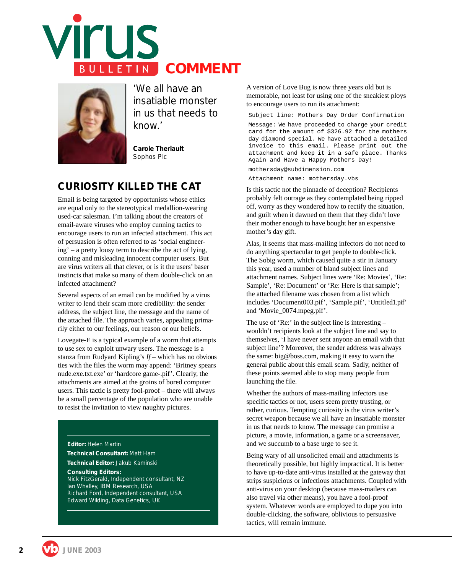



*'We all have an insatiable monster in us that needs to know.'*

**Carole Theriault** Sophos Plc

## **CURIOSITY KILLED THE CAT**

Email is being targeted by opportunists whose ethics are equal only to the stereotypical medallion-wearing used-car salesman. I'm talking about the creators of email-aware viruses who employ cunning tactics to encourage users to run an infected attachment. This act of persuasion is often referred to as 'social engineering' – a pretty lousy term to describe the act of lying, conning and misleading innocent computer users. But are virus writers all that clever, or is it the users' baser instincts that make so many of them double-click on an infected attachment?

Several aspects of an email can be modified by a virus writer to lend their scam more credibility: the sender address, the subject line, the message and the name of the attached file. The approach varies, appealing primarily either to our feelings, our reason or our beliefs.

Lovegate-E is a typical example of a worm that attempts to use sex to exploit unwary users. The message is a stanza from Rudyard Kipling's *If* – which has no obvious ties with the files the worm may append: 'Britney spears nude.exe.txt.exe' or 'hardcore game-.pif'. Clearly, the attachments are aimed at the groins of bored computer users. This tactic is pretty fool-proof – there will always be a small percentage of the population who are unable to resist the invitation to view naughty pictures.

#### **Editor:** Helen Martin

**Technical Consultant:** Matt Ham **Technical Editor:** Jakub Kaminski **Consulting Editors:** Nick FitzGerald, *Independent consultant, NZ* Ian Whalley, *IBM Research, USA* Richard Ford, *Independent consultant, USA* Edward Wilding, *Data Genetics, UK*

A version of Love Bug is now three years old but is memorable, not least for using one of the sneakiest ploys to encourage users to run its attachment:

Subject line: Mothers Day Order Confirmation

Message: We have proceeded to charge your credit card for the amount of \$326.92 for the mothers day diamond special. We have attached a detailed invoice to this email. Please print out the attachment and keep it in a safe place. Thanks Again and Have a Happy Mothers Day!

mothersday@subdimension.com

Attachment name: mothersday.vbs

Is this tactic not the pinnacle of deception? Recipients probably felt outrage as they contemplated being ripped off, worry as they wondered how to rectify the situation, and guilt when it dawned on them that they didn't love their mother enough to have bought her an expensive mother's day gift.

Alas, it seems that mass-mailing infectors do not need to do anything spectacular to get people to double-click. The Sobig worm, which caused quite a stir in January this year, used a number of bland subject lines and attachment names. Subject lines were 'Re: Movies', 'Re: Sample', 'Re: Document' or 'Re: Here is that sample'; the attached filename was chosen from a list which includes 'Document003.pif', 'Sample.pif', 'Untitled1.pif' and 'Movie\_0074.mpeg.pif'.

The use of 'Re:' in the subject line is interesting – wouldn't recipients look at the subject line and say to themselves, 'I have never sent anyone an email with that subject line'? Moreover, the sender address was always the same: big@boss.com, making it easy to warn the general public about this email scam. Sadly, neither of these points seemed able to stop many people from launching the file.

Whether the authors of mass-mailing infectors use specific tactics or not, users seem pretty trusting, or rather, curious. Tempting curiosity is the virus writer's secret weapon because we all have an insatiable monster in us that needs to know. The message can promise a picture, a movie, information, a game or a screensaver, and we succumb to a base urge to see it.

Being wary of all unsolicited email and attachments is theoretically possible, but highly impractical. It is better to have up-to-date anti-virus installed at the gateway that strips suspicious or infectious attachments. Coupled with anti-virus on your desktop (because mass-mailers can also travel via other means), you have a fool-proof system. Whatever words are employed to dupe you into double-clicking, the software, oblivious to persuasive tactics, will remain immune.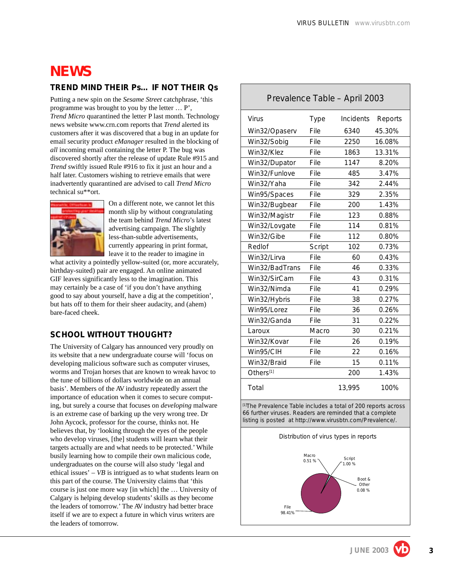# **NEWS**

#### **TREND MIND THEIR Ps … IF NOT THEIR Qs**

Putting a new spin on the *Sesame Street* catchphrase, 'this programme was brought to you by the letter … P', *Trend Micro* quarantined the letter P last month. Technology news website www.crn.com reports that *Trend* alerted its customers after it was discovered that a bug in an update for email security product *eManager* resulted in the blocking of *all* incoming email containing the letter P. The bug was discovered shortly after the release of update Rule #915 and *Trend* swiftly issued Rule #916 to fix it just an hour and a half later. Customers wishing to retrieve emails that were inadvertently quarantined are advised to call *Trend Micro* technical su\*\*ort.



On a different note, we cannot let this month slip by without congratulating the team behind *Trend Micro*'s latest advertising campaign. The slightly less-than-subtle advertisements, currently appearing in print format, leave it to the reader to imagine in

what activity a pointedly yellow-suited (or, more accurately, birthday-suited) pair are engaged. An online animated GIF leaves significantly less to the imagination. This may certainly be a case of 'if you don't have anything good to say about yourself, have a dig at the competition', but hats off to them for their sheer audacity, and (ahem) bare-faced cheek.

### **SCHOOL WITHOUT THOUGHT?**

The University of Calgary has announced very proudly on its website that a new undergraduate course will 'focus on developing malicious software such as computer viruses, worms and Trojan horses that are known to wreak havoc to the tune of billions of dollars worldwide on an annual basis'. Members of the AV industry repeatedly assert the importance of education when it comes to secure computing, but surely a course that focuses on *developing* malware is an extreme case of barking up the very wrong tree. Dr John Aycock, professor for the course, thinks not. He believes that, by 'looking through the eyes of the people who develop viruses, [the] students will learn what their targets actually are and what needs to be protected.' While busily learning how to compile their own malicious code, undergraduates on the course will also study 'legal and ethical issues' – *VB* is intrigued as to what students learn on this part of the course. The University claims that 'this course is just one more way [in which] the … University of Calgary is helping develop students' skills as they become the leaders of tomorrow.' The AV industry had better brace itself if we are to expect a future in which virus writers are the leaders of tomorrow.

### Prevalence Table – April 2003

| Virus          | Type   | Incidents | Reports |
|----------------|--------|-----------|---------|
| Win32/Opaserv  | File   | 6340      | 45.30%  |
| Win32/Sobig    | File   | 2250      | 16.08%  |
| Win32/Klez     | File   | 1863      | 13.31%  |
| Win32/Dupator  | File   | 1147      | 8.20%   |
| Win32/Funlove  | File   | 485       | 3.47%   |
| Win32/Yaha     | File   | 342       | 2.44%   |
| Win95/Spaces   | File   | 329       | 2.35%   |
| Win32/Bugbear  | File   | 200       | 1.43%   |
| Win32/Magistr  | File   | 123       | 0.88%   |
| Win32/Lovgate  | File   | 114       | 0.81%   |
| Win32/Gibe     | File   | 112       | 0.80%   |
| Redlof         | Script | 102       | 0.73%   |
| Win32/Lirva    | File   | 60        | 0.43%   |
| Win32/BadTrans | File   | 46        | 0.33%   |
| Win32/SirCam   | File   | 43        | 0.31%   |
| Win32/Nimda    | File   | 41        | 0.29%   |
| Win32/Hybris   | File   | 38        | 0.27%   |
| Win95/Lorez    | File   | 36        | 0.26%   |
| Win32/Ganda    | File   | 31        | 0.22%   |
| Laroux         | Macro  | 30        | 0.21%   |
| Win32/Kovar    | File   | 26        | 0.19%   |
| Win95/CIH      | File   | 22        | 0.16%   |
| Win32/Braid    | File   | 15        | 0.11%   |
| Others[1]      |        | 200       | 1.43%   |
| Total          |        | 13,995    | 100%    |

[1]The Prevalence Table includes a total of 200 reports across 66 further viruses. Readers are reminded that a complete listing is posted at http://www.virusbtn.com/Prevalence/.

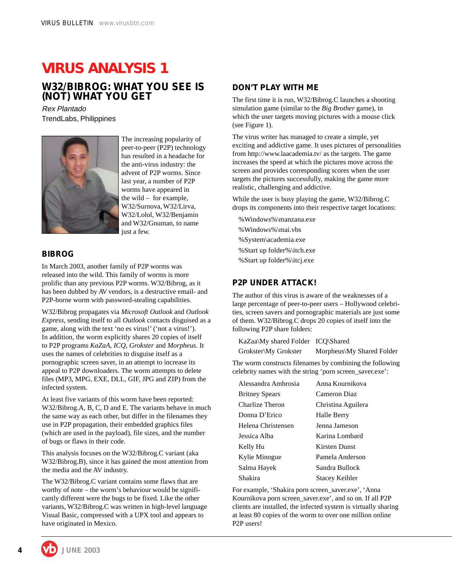# **VIRUS ANALYSIS 1**

### **W32/BIBROG: WHAT YOU SEE IS (NOT) WHAT YOU GET**

Rex Plantado TrendLabs, Philippines



The increasing popularity of peer-to-peer (P2P) technology has resulted in a headache for the anti-virus industry: the advent of P2P worms. Since last year, a number of P2P worms have appeared in the wild – for example, W32/Surnova, W32/Lirva, W32/Lolol, W32/Benjamin and W32/Gnuman, to name just a few.

#### **BIBROG**

In March 2003, another family of P2P worms was released into the wild. This family of worms is more prolific than any previous P2P worms. W32/Bibrog, as it has been dubbed by AV vendors, is a destructive email- and P2P-borne worm with password-stealing capabilities.

W32/Bibrog propagates via *Microsoft Outlook* and *Outlook Express,* sending itself to all *Outlook* contacts disguised as a game, along with the text 'no es virus!' ('not a virus!'). In addition, the worm explicitly shares 20 copies of itself to P2P programs *KaZaA*, *ICQ*, *Grokster* and *Morpheus*. It uses the names of celebrities to disguise itself as a pornographic screen saver, in an attempt to increase its appeal to P2P downloaders. The worm attempts to delete files (MP3, MPG, EXE, DLL, GIF, JPG and ZIP) from the infected system.

At least five variants of this worm have been reported: W32/Bibrog.A, B, C, D and E. The variants behave in much the same way as each other, but differ in the filenames they use in P2P propagation, their embedded graphics files (which are used in the payload), file sizes, and the number of bugs or flaws in their code.

This analysis focuses on the W32/Bibrog.C variant (aka W32/Bibrog.B), since it has gained the most attention from the media and the AV industry.

The W32/Bibrog.C variant contains some flaws that are worthy of note – the worm's behaviour would be significantly different were the bugs to be fixed. Like the other variants, W32/Bibrog.C was written in high-level language Visual Basic, compressed with a UPX tool and appears to have originated in Mexico.

#### **DON'T PLAY WITH ME**

The first time it is run, W32/Bibrog.C launches a shooting simulation game (similar to the *Big Brother* game), in which the user targets moving pictures with a mouse click (see Figure 1).

The virus writer has managed to create a simple, yet exciting and addictive game. It uses pictures of personalities from http://www.laacademia.tv/ as the targets. The game increases the speed at which the pictures move across the screen and provides corresponding scores when the user targets the pictures successfully, making the game more realistic, challenging and addictive.

While the user is busy playing the game, W32/Bibrog.C drops its components into their respective target locations:

%Windows%\manzana.exe %Windows%\mai.vbs %System\academia.exe %Start up folder%\itch.exe %Start up folder%\itcj.exe

#### **P2P UNDER ATTACK!**

The author of this virus is aware of the weaknesses of a large percentage of peer-to-peer users – Hollywood celebrities, screen savers and pornographic materials are just some of them. W32/Bibrog.C drops 20 copies of itself into the following P2P share folders:

| KaZaa\My shared Folder ICQ\Shared |                           |
|-----------------------------------|---------------------------|
| Grokster\My Grokster              | Morpheus My Shared Folder |

The worm constructs filenames by combining the following celebrity names with the string 'porn screen\_saver.exe':

| Alessandra Ambrosia   | Anna Kournikova       |
|-----------------------|-----------------------|
| <b>Britney Spears</b> | Cameron Diaz          |
| Charlize Theron       | Christina Aguilera    |
| Donna D'Erico         | Halle Berry           |
| Helena Christensen    | Jenna Jameson         |
| Jessica Alba          | Karina Lombard        |
| Kelly Hu              | <b>Kirsten Dunst</b>  |
| Kylie Minogue         | Pamela Anderson       |
| Salma Hayek           | Sandra Bullock        |
| Shakira               | <b>Stacey Keibler</b> |

For example, 'Shakira porn screen\_saver.exe', 'Anna Kournikova porn screen\_saver.exe', and so on. If all P2P clients are installed, the infected system is virtually sharing at least 80 copies of the worm to over one million online P2P users!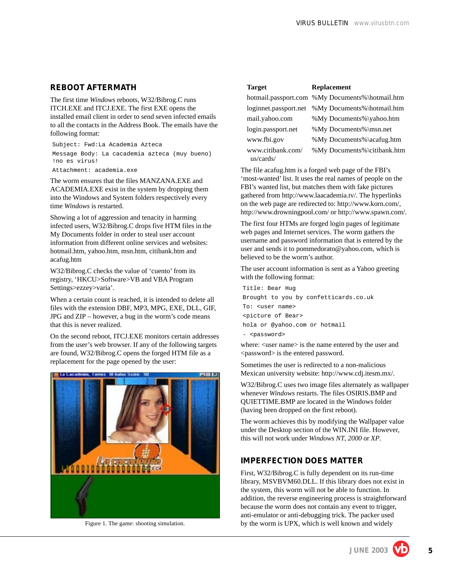#### **REBOOT AFTERMATH**

The first time *Windows* reboots, W32/Bibrog.C runs ITCH.EXE and ITCJ.EXE. The first EXE opens the installed email client in order to send seven infected emails to all the contacts in the Address Book. The emails have the following format:

Subject: Fwd:La Academia Azteca Message Body: La cacademia azteca (muy bueno) !no es virus!

Attachment: academia.exe

The worm ensures that the files MANZANA.EXE and ACADEMIA.EXE exist in the system by dropping them into the Windows and System folders respectively every time *Windows* is restarted.

Showing a lot of aggression and tenacity in harming infected users, W32/Bibrog.C drops five HTM files in the My Documents folder in order to steal user account information from different online services and websites: hotmail.htm, yahoo.htm, msn.htm, citibank.htm and acafug.htm

W32/Bibrog.C checks the value of 'cuento' from its registry, 'HKCU>Software>VB and VBA Program Settings>ezzey>varia'.

When a certain count is reached, it is intended to delete all files with the extension DBF, MP3, MPG, EXE, DLL, GIF, JPG and ZIP – however, a bug in the worm's code means that this is never realized.

On the second reboot, ITCJ.EXE monitors certain addresses from the user's web browser. If any of the following targets are found, W32/Bibrog.C opens the forged HTM file as a replacement for the page opened by the user:



| <b>Target</b>                  | <b>Replacement</b>                              |
|--------------------------------|-------------------------------------------------|
|                                | hotmail.passport.com %My Documents%\hotmail.htm |
| loginnet.passport.net          | %My Documents%\hotmail.htm                      |
| mail.yahoo.com                 | %My Documents%\yahoo.htm                        |
| login.passport.net             | %My Documents%\msn.net                          |
| www.fbi.gov                    | %My Documents%\acafug.htm                       |
| www.citibank.com/<br>us/cards/ | %My Documents%\citibank.htm                     |

The file acafug.htm is a forged web page of the FBI's 'most-wanted' list. It uses the real names of people on the FBI's wanted list, but matches them with fake pictures gathered from http://www.laacademia.tv/. The hyperlinks on the web page are redirected to: http://www.korn.com/, http://www.drowningpool.com/ or http://www.spawn.com/.

The first four HTMs are forged login pages of legitimate web pages and Internet services. The worm gathers the username and password information that is entered by the user and sends it to pommedorato@yahoo.com*,* which is believed to be the worm's author.

The user account information is sent as a Yahoo greeting with the following format:

Title: Bear Hug Brought to you by confetticards.co.uk To: <user name> <picture of Bear> hola or @yahoo.com or hotmail - <password>

where: <user name> is the name entered by the user and <password> is the entered password.

Sometimes the user is redirected to a non-malicious Mexican university website: http://www.cdj.itesm.mx/.

W32/Bibrog.C uses two image files alternately as wallpaper whenever *Windows* restarts. The files OSIRIS.BMP and QUIETTIME.BMP are located in the Windows folder (having been dropped on the first reboot).

The worm achieves this by modifying the Wallpaper value under the Desktop section of the WIN.INI file. However, this will not work under *Windows NT*, *2000* or *XP*.

#### **IMPERFECTION DOES MATTER**

First, W32/Bibrog.C is fully dependent on its run-time library, MSVBVM60.DLL. If this library does not exist in the system, this worm will not be able to function. In addition, the reverse engineering process is straightforward because the worm does not contain any event to trigger, anti-emulator or anti-debugging trick. The packer used Figure 1. The game: shooting simulation. by the worm is UPX, which is well known and widely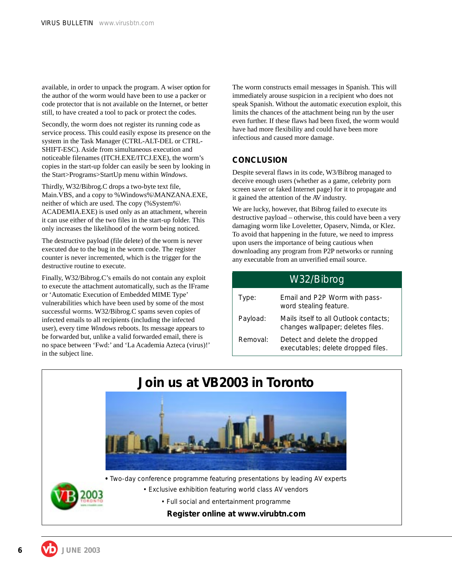available, in order to unpack the program. A wiser option for the author of the worm would have been to use a packer or code protector that is not available on the Internet, or better still, to have created a tool to pack or protect the codes.

Secondly, the worm does not register its running code as service process. This could easily expose its presence on the system in the Task Manager (CTRL-ALT-DEL or CTRL-SHIFT-ESC). Aside from simultaneous execution and noticeable filenames (ITCH.EXE/ITCJ.EXE), the worm's copies in the start-up folder can easily be seen by looking in the Start>Programs>StartUp menu within *Windows*.

Thirdly, W32/Bibrog.C drops a two-byte text file, Main.VBS, and a copy to %Windows%\MANZANA.EXE, neither of which are used. The copy (%System%\ ACADEMIA.EXE) is used only as an attachment, wherein it can use either of the two files in the start-up folder. This only increases the likelihood of the worm being noticed.

The destructive payload (file delete) of the worm is never executed due to the bug in the worm code. The register counter is never incremented, which is the trigger for the destructive routine to execute.

Finally, W32/Bibrog.C's emails do not contain any exploit to execute the attachment automatically, such as the IFrame or 'Automatic Execution of Embedded MIME Type' vulnerabilities which have been used by some of the most successful worms. W32/Bibrog.C spams seven copies of infected emails to all recipients (including the infected user), every time *Windows* reboots. Its message appears to be forwarded but, unlike a valid forwarded email, there is no space between 'Fwd:' and 'La Academia Azteca (virus)!' in the subject line.

The worm constructs email messages in Spanish. This will immediately arouse suspicion in a recipient who does not speak Spanish. Without the automatic execution exploit, this limits the chances of the attachment being run by the user even further. If these flaws had been fixed, the worm would have had more flexibility and could have been more infectious and caused more damage.

#### **CONCLUSION**

Despite several flaws in its code, W3/Bibrog managed to deceive enough users (whether as a game, celebrity porn screen saver or faked Internet page) for it to propagate and it gained the attention of the AV industry.

We are lucky, however, that Bibrog failed to execute its destructive payload – otherwise, this could have been a very damaging worm like Loveletter, Opaserv, Nimda, or Klez. To avoid that happening in the future, we need to impress upon users the importance of being cautious when downloading any program from P2P networks or running any executable from an unverified email source.

| W32/Bibrog |                                                                            |  |  |
|------------|----------------------------------------------------------------------------|--|--|
| Type:      | Email and P2P Worm with pass-<br>word stealing feature.                    |  |  |
| Payload:   | Mails itself to all Outlook contacts;<br>changes wallpaper; deletes files. |  |  |
| Removal:   | Detect and delete the dropped<br>executables; delete dropped files.        |  |  |

# **Join us at VB2003 in Toronto**



**•** Two-day conference programme featuring presentations by leading AV experts

- Exclusive exhibition featuring world class AV vendors
	- Full social and entertainment programme

**Register online at www.virubtn.com**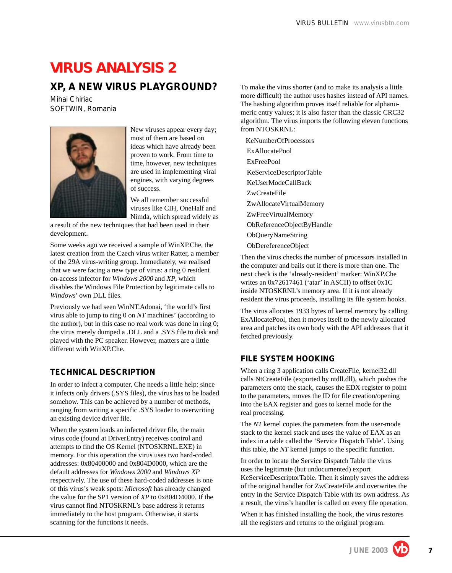# **VIRUS ANALYSIS 2**

### **XP, A NEW VIRUS PLAYGROUND?**

*Mihai Chiriac* SOFTWIN, Romania



New viruses appear every day; most of them are based on ideas which have already been proven to work. From time to time, however, new techniques are used in implementing viral engines, with varying degrees of success.

We all remember successful viruses like CIH, OneHalf and Nimda, which spread widely as

a result of the new techniques that had been used in their development.

Some weeks ago we received a sample of WinXP.Che, the latest creation from the Czech virus writer Ratter, a member of the 29A virus-writing group. Immediately, we realised that we were facing a new type of virus: a ring 0 resident on-access infector for *Windows 2000* and *XP*, which disables the Windows File Protection by legitimate calls to *Windows*' own DLL files.

Previously we had seen WinNT.Adonai, 'the world's first virus able to jump to ring 0 on *NT* machines' (according to the author), but in this case no real work was done in ring 0; the virus merely dumped a .DLL and a .SYS file to disk and played with the PC speaker. However, matters are a little different with WinXP.Che.

#### **TECHNICAL DESCRIPTION**

In order to infect a computer, Che needs a little help: since it infects only drivers (.SYS files), the virus has to be loaded somehow. This can be achieved by a number of methods, ranging from writing a specific .SYS loader to overwriting an existing device driver file.

When the system loads an infected driver file, the main virus code (found at DriverEntry) receives control and attempts to find the OS Kernel (NTOSKRNL.EXE) in memory. For this operation the virus uses two hard-coded addresses: 0x80400000 and 0x804D0000, which are the default addresses for *Windows 2000* and *Windows XP* respectively. The use of these hard-coded addresses is one of this virus's weak spots: *Microsoft* has already changed the value for the SP1 version of *XP* to 0x804D4000. If the virus cannot find NTOSKRNL's base address it returns immediately to the host program. Otherwise, it starts scanning for the functions it needs.

To make the virus shorter (and to make its analysis a little more difficult) the author uses hashes instead of API names. The hashing algorithm proves itself reliable for alphanumeric entry values; it is also faster than the classic CRC32 algorithm. The virus imports the following eleven functions from NTOSKRNL:

 KeNumberOfProcessors ExAllocatePool ExFreePool KeServiceDescriptorTable KeUserModeCallBack ZwCreateFile ZwAllocateVirtualMemory ZwFreeVirtualMemory ObReferenceObjectByHandle ObQueryNameString ObDereferenceObject

Then the virus checks the number of processors installed in the computer and bails out if there is more than one. The next check is the 'already-resident' marker: WinXP.Che writes an 0x72617461 ('atar' in ASCII) to offset 0x1C inside NTOSKRNL's memory area. If it is not already resident the virus proceeds, installing its file system hooks.

The virus allocates 1933 bytes of kernel memory by calling ExAllocatePool, then it moves itself to the newly allocated area and patches its own body with the API addresses that it fetched previously.

#### **FILE SYSTEM HOOKING**

When a ring 3 application calls CreateFile, kernel32.dll calls NtCreateFile (exported by ntdll.dll), which pushes the parameters onto the stack, causes the EDX register to point to the parameters, moves the ID for file creation/opening into the EAX register and goes to kernel mode for the real processing.

The *NT* kernel copies the parameters from the user-mode stack to the kernel stack and uses the value of EAX as an index in a table called the 'Service Dispatch Table'. Using this table, the *NT* kernel jumps to the specific function.

In order to locate the Service Dispatch Table the virus uses the legitimate (but undocumented) export KeServiceDescriptorTable. Then it simply saves the address of the original handler for ZwCreateFile and overwrites the entry in the Service Dispatch Table with its own address. As a result, the virus's handler is called on every file operation.

When it has finished installing the hook, the virus restores all the registers and returns to the original program.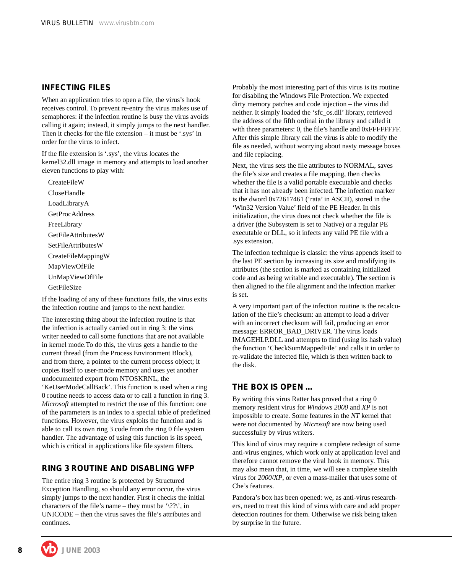#### **INFECTING FILES**

When an application tries to open a file, the virus's hook receives control. To prevent re-entry the virus makes use of semaphores: if the infection routine is busy the virus avoids calling it again; instead, it simply jumps to the next handler. Then it checks for the file extension – it must be '.sys' in order for the virus to infect.

If the file extension is '.sys', the virus locates the kernel32.dll image in memory and attempts to load another eleven functions to play with:

CreateFileW CloseHandle LoadLibraryA **GetProcAddress** FreeLibrary GetFileAttributesW SetFileAttributesW CreateFileMappingW MapViewOfFile UnMapViewOfFile GetFileSize

If the loading of any of these functions fails, the virus exits the infection routine and jumps to the next handler.

The interesting thing about the infection routine is that the infection is actually carried out in ring 3: the virus writer needed to call some functions that are not available in kernel mode.To do this, the virus gets a handle to the current thread (from the Process Environment Block), and from there, a pointer to the current process object; it copies itself to user-mode memory and uses yet another undocumented export from NTOSKRNL, the 'KeUserModeCallBack'. This function is used when a ring 0 routine needs to access data or to call a function in ring 3. *Microsoft* attempted to restrict the use of this function: one of the parameters is an index to a special table of predefined functions. However, the virus exploits the function and is able to call its own ring 3 code from the ring 0 file system handler. The advantage of using this function is its speed, which is critical in applications like file system filters.

#### **RING 3 ROUTINE AND DISABLING WFP**

The entire ring 3 routine is protected by Structured Exception Handling, so should any error occur, the virus simply jumps to the next handler. First it checks the initial characters of the file's name – they must be ' $\langle$ ? $\rangle$ ', in UNICODE – then the virus saves the file's attributes and continues.

Probably the most interesting part of this virus is its routine for disabling the Windows File Protection. We expected dirty memory patches and code injection – the virus did neither. It simply loaded the 'sfc\_os.dll' library, retrieved the address of the fifth ordinal in the library and called it with three parameters: 0, the file's handle and 0xFFFFFFFF. After this simple library call the virus is able to modify the file as needed, without worrying about nasty message boxes and file replacing.

Next, the virus sets the file attributes to NORMAL, saves the file's size and creates a file mapping, then checks whether the file is a valid portable executable and checks that it has not already been infected. The infection marker is the dword 0x72617461 ('rata' in ASCII), stored in the 'Win32 Version Value' field of the PE Header. In this initialization, the virus does not check whether the file is a driver (the Subsystem is set to Native) or a regular PE executable or DLL, so it infects any valid PE file with a .sys extension.

The infection technique is classic: the virus appends itself to the last PE section by increasing its size and modifying its attributes (the section is marked as containing initialized code and as being writable and executable). The section is then aligned to the file alignment and the infection marker is set.

A very important part of the infection routine is the recalculation of the file's checksum: an attempt to load a driver with an incorrect checksum will fail, producing an error message: ERROR\_BAD\_DRIVER. The virus loads IMAGEHLP.DLL and attempts to find (using its hash value) the function 'CheckSumMappedFile' and calls it in order to re-validate the infected file, which is then written back to the disk.

#### **THE BOX IS OPEN …**

By writing this virus Ratter has proved that a ring 0 memory resident virus for *Windows 2000* and *XP* is not impossible to create. Some features in the *NT* kernel that were not documented by *Microsoft* are now being used successfully by virus writers.

This kind of virus may require a complete redesign of some anti-virus engines, which work only at application level and therefore cannot remove the viral hook in memory. This may also mean that, in time, we will see a complete stealth virus for *2000*/*XP*, or even a mass-mailer that uses some of Che's features.

Pandora's box has been opened: we, as anti-virus researchers, need to treat this kind of virus with care and add proper detection routines for them. Otherwise we risk being taken by surprise in the future.

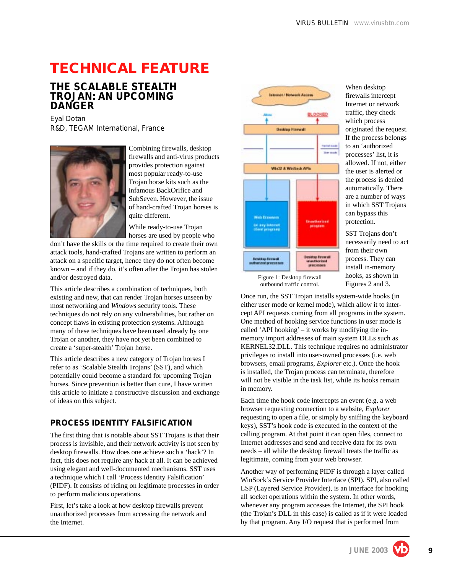# **TECHNICAL FEATURE**

### **THE SCALABLE STEALTH TROJAN: AN UPCOMING DANGER**

*Eyal Dotan* R&D, TEGAM International, France



Combining firewalls, desktop firewalls and anti-virus products provides protection against most popular ready-to-use Trojan horse kits such as the infamous BackOrifice and SubSeven. However, the issue of hand-crafted Trojan horses is quite different.

While ready-to-use Trojan horses are used by people who

don't have the skills or the time required to create their own attack tools, hand-crafted Trojans are written to perform an attack on a specific target, hence they do not often become known – and if they do, it's often after the Trojan has stolen and/or destroyed data.

This article describes a combination of techniques, both existing and new, that can render Trojan horses unseen by most networking and *Windows* security tools. These techniques do not rely on any vulnerabilities, but rather on concept flaws in existing protection systems. Although many of these techniques have been used already by one Trojan or another, they have not yet been combined to create a 'super-stealth' Trojan horse.

This article describes a new category of Trojan horses I refer to as 'Scalable Stealth Trojans' (SST), and which potentially could become a standard for upcoming Trojan horses. Since prevention is better than cure, I have written this article to initiate a constructive discussion and exchange of ideas on this subject.

#### **PROCESS IDENTITY FALSIFICATION**

The first thing that is notable about SST Trojans is that their process is invisible, and their network activity is not seen by desktop firewalls. How does one achieve such a 'hack'? In fact, this does not require any hack at all. It can be achieved using elegant and well-documented mechanisms. SST uses a technique which I call 'Process Identity Falsification' (PIDF). It consists of riding on legitimate processes in order to perform malicious operations.

First, let's take a look at how desktop firewalls prevent unauthorized processes from accessing the network and the Internet.



When desktop firewalls intercept Internet or network traffic, they check which process originated the request. If the process belongs to an 'authorized processes' list, it is allowed. If not, either the user is alerted or the process is denied automatically. There are a number of ways in which SST Trojans can bypass this protection.

SST Trojans don't necessarily need to act from their own process. They can install in-memory hooks, as shown in Figures 2 and 3.

Figure 1: Desktop firewall outbound traffic control.

Once run, the SST Trojan installs system-wide hooks (in either user mode or kernel mode), which allow it to intercept API requests coming from all programs in the system. One method of hooking service functions in user mode is called 'API hooking' – it works by modifying the inmemory import addresses of main system DLLs such as KERNEL32.DLL. This technique requires no administrator privileges to install into user-owned processes (i.e. web browsers, email programs, *Explorer* etc.). Once the hook is installed, the Trojan process can terminate, therefore will not be visible in the task list, while its hooks remain in memory.

Each time the hook code intercepts an event (e.g. a web browser requesting connection to a website, *Explorer* requesting to open a file, or simply by sniffing the keyboard keys), SST's hook code is executed in the context of the calling program. At that point it can open files, connect to Internet addresses and send and receive data for its own needs – all while the desktop firewall treats the traffic as legitimate, coming from your web browser.

Another way of performing PIDF is through a layer called WinSock's Service Provider Interface (SPI). SPI, also called LSP (Layered Service Provider), is an interface for hooking all socket operations within the system. In other words, whenever any program accesses the Internet, the SPI hook (the Trojan's DLL in this case) is called as if it were loaded by that program. Any I/O request that is performed from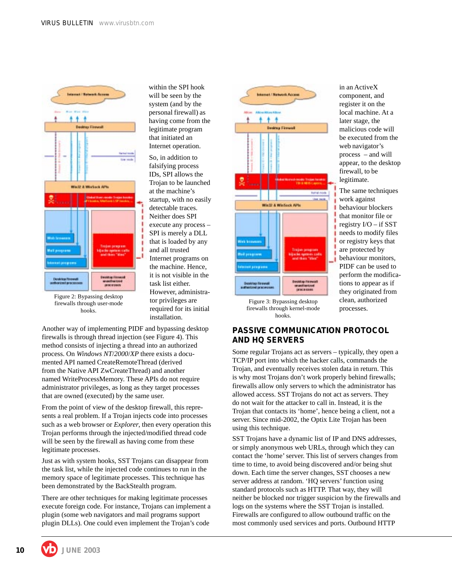within the SPI hook will be seen by the system (and by the personal firewall) as having come from the legitimate program that initiated an Internet operation. So, in addition to falsifying process IDs, SPI allows the Trojan to be launched at the machine's startup, with no easily detectable traces. Neither does SPI execute any process – SPI is merely a DLL that is loaded by any and all trusted Internet programs on the machine. Hence, it is not visible in the task list either. However, administrator privileges are required for its initial



Figure 2: Bypassing desktop firewalls through user-mode hooks.

Another way of implementing PIDF and bypassing desktop firewalls is through thread injection (see Figure 4). This method consists of injecting a thread into an authorized process. On *Windows NT*/*2000*/*XP* there exists a documented API named CreateRemoteThread (derived from the Native API ZwCreateThread) and another named WriteProcessMemory. These APIs do not require administrator privileges, as long as they target processes that are owned (executed) by the same user.

installation.

From the point of view of the desktop firewall, this represents a real problem. If a Trojan injects code into processes such as a web browser or *Explorer*, then every operation this Trojan performs through the injected/modified thread code will be seen by the firewall as having come from these legitimate processes.

Just as with system hooks, SST Trojans can disappear from the task list, while the injected code continues to run in the memory space of legitimate processes. This technique has been demonstrated by the BackStealth program.

There are other techniques for making legitimate processes execute foreign code. For instance, Trojans can implement a plugin (some web navigators and mail programs support plugin DLLs). One could even implement the Trojan's code



Figure 3: Bypassing desktop firewalls through kernel-mode hooks.

#### in an ActiveX component, and register it on the local machine. At a later stage, the malicious code will be executed from the web navigator's process – and will appear, to the desktop firewall, to be legitimate.

The same techniques work against behaviour blockers that monitor file or registry I/O – if SST needs to modify files or registry keys that are protected by behaviour monitors, PIDF can be used to perform the modifications to appear as if they originated from clean, authorized processes.

#### **PASSIVE COMMUNICATION PROTOCOL AND HQ SERVERS**

Some regular Trojans act as servers – typically, they open a TCP/IP port into which the hacker calls, commands the Trojan, and eventually receives stolen data in return. This is why most Trojans don't work properly behind firewalls; firewalls allow only servers to which the administrator has allowed access. SST Trojans do not act as servers. They do not wait for the attacker to call in. Instead, it is the Trojan that contacts its 'home', hence being a client, not a server. Since mid-2002, the Optix Lite Trojan has been using this technique.

SST Trojans have a dynamic list of IP and DNS addresses, or simply anonymous web URLs, through which they can contact the 'home' server. This list of servers changes from time to time, to avoid being discovered and/or being shut down. Each time the server changes, SST chooses a new server address at random. 'HQ servers' function using standard protocols such as HTTP. That way, they will neither be blocked nor trigger suspicion by the firewalls and logs on the systems where the SST Trojan is installed. Firewalls are configured to allow outbound traffic on the most commonly used services and ports. Outbound HTTP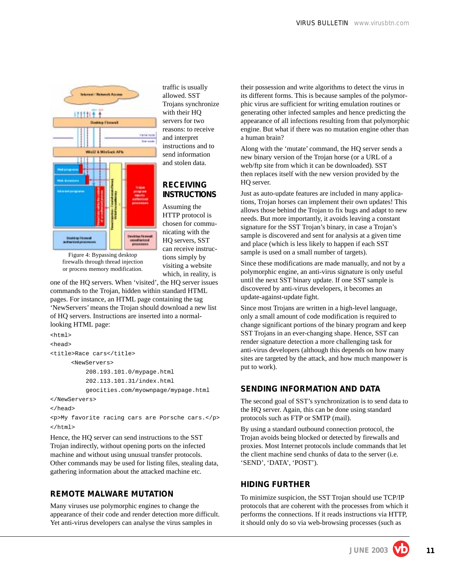

traffic is usually allowed. SST Trojans synchronize with their HQ servers for two reasons: to receive and interpret instructions and to send information and stolen data.

### **RECEIVING INSTRUCTIONS**

Assuming the HTTP protocol is chosen for communicating with the HQ servers, SST can receive instructions simply by visiting a website which, in reality, is

Figure 4: Bypassing desktop firewalls through thread injection or process memory modification.

one of the HQ servers. When 'visited', the HQ server issues commands to the Trojan, hidden within standard HTML pages. For instance, an HTML page containing the tag 'NewServers' means the Trojan should download a new list of HQ servers. Instructions are inserted into a normallooking HTML page:

```
<html>
<head>
<title>Race cars</title>
      <NewServers>
           208.193.101.0/mypage.html
           202.113.101.31/index.html
           geocities.com/myownpage/mypage.html
</NewServers>
</head>
<p>My favorite racing cars are Porsche cars.</p>
```

```
</html>
```
Hence, the HQ server can send instructions to the SST Trojan indirectly, without opening ports on the infected machine and without using unusual transfer protocols. Other commands may be used for listing files, stealing data, gathering information about the attacked machine etc.

#### **REMOTE MALWARE MUTATION**

Many viruses use polymorphic engines to change the appearance of their code and render detection more difficult. Yet anti-virus developers can analyse the virus samples in

their possession and write algorithms to detect the virus in its different forms. This is because samples of the polymorphic virus are sufficient for writing emulation routines or generating other infected samples and hence predicting the appearance of all infections resulting from that polymorphic engine. But what if there was no mutation engine other than a human brain?

Along with the 'mutate' command, the HQ server sends a new binary version of the Trojan horse (or a URL of a web/ftp site from which it can be downloaded). SST then replaces itself with the new version provided by the HQ server.

Just as auto-update features are included in many applications, Trojan horses can implement their own updates! This allows those behind the Trojan to fix bugs and adapt to new needs. But more importantly, it avoids leaving a constant signature for the SST Trojan's binary, in case a Trojan's sample is discovered and sent for analysis at a given time and place (which is less likely to happen if each SST sample is used on a small number of targets).

Since these modifications are made manually, and not by a polymorphic engine, an anti-virus signature is only useful until the next SST binary update. If one SST sample is discovered by anti-virus developers, it becomes an update-against-update fight.

Since most Trojans are written in a high-level language, only a small amount of code modification is required to change significant portions of the binary program and keep SST Trojans in an ever-changing shape. Hence, SST can render signature detection a more challenging task for anti-virus developers (although this depends on how many sites are targeted by the attack, and how much manpower is put to work).

#### **SENDING INFORMATION AND DATA**

The second goal of SST's synchronization is to send data to the HQ server. Again, this can be done using standard protocols such as FTP or SMTP (mail).

By using a standard outbound connection protocol, the Trojan avoids being blocked or detected by firewalls and proxies. Most Internet protocols include commands that let the client machine send chunks of data to the server (i.e. 'SEND', 'DATA', 'POST').

#### **HIDING FURTHER**

To minimize suspicion, the SST Trojan should use TCP/IP protocols that are coherent with the processes from which it performs the connections. If it reads instructions via HTTP, it should only do so via web-browsing processes (such as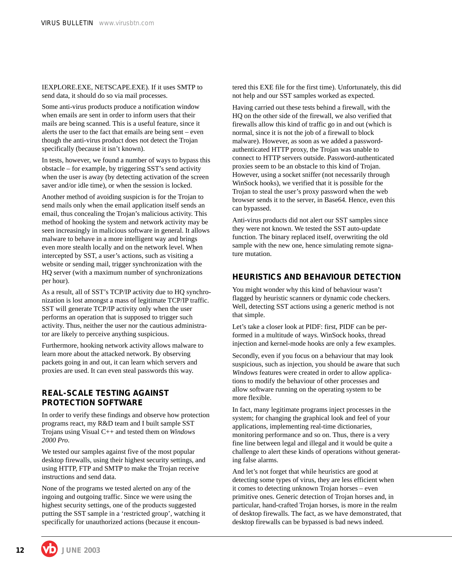IEXPLORE.EXE, NETSCAPE.EXE). If it uses SMTP to send data, it should do so via mail processes.

Some anti-virus products produce a notification window when emails are sent in order to inform users that their mails are being scanned. This is a useful feature, since it alerts the user to the fact that emails are being sent – even though the anti-virus product does not detect the Trojan specifically (because it isn't known).

In tests, however, we found a number of ways to bypass this obstacle – for example, by triggering SST's send activity when the user is away (by detecting activation of the screen saver and/or idle time), or when the session is locked.

Another method of avoiding suspicion is for the Trojan to send mails only when the email application itself sends an email, thus concealing the Trojan's malicious activity. This method of hooking the system and network activity may be seen increasingly in malicious software in general. It allows malware to behave in a more intelligent way and brings even more stealth locally and on the network level. When intercepted by SST, a user's actions, such as visiting a website or sending mail, trigger synchronization with the HQ server (with a maximum number of synchronizations per hour).

As a result, all of SST's TCP/IP activity due to HQ synchronization is lost amongst a mass of legitimate TCP/IP traffic. SST will generate TCP/IP activity only when the user performs an operation that is supposed to trigger such activity. Thus, neither the user nor the cautious administrator are likely to perceive anything suspicious.

Furthermore, hooking network activity allows malware to learn more about the attacked network. By observing packets going in and out, it can learn which servers and proxies are used. It can even steal passwords this way.

#### **REAL-SCALE TESTING AGAINST PROTECTION SOFTWARE**

In order to verify these findings and observe how protection programs react, my R&D team and I built sample SST Trojans using Visual C++ and tested them on *Windows 2000 Pro*.

We tested our samples against five of the most popular desktop firewalls, using their highest security settings, and using HTTP, FTP and SMTP to make the Trojan receive instructions and send data.

None of the programs we tested alerted on any of the ingoing and outgoing traffic. Since we were using the highest security settings, one of the products suggested putting the SST sample in a 'restricted group', watching it specifically for unauthorized actions (because it encountered this EXE file for the first time). Unfortunately, this did not help and our SST samples worked as expected.

Having carried out these tests behind a firewall, with the HQ on the other side of the firewall, we also verified that firewalls allow this kind of traffic go in and out (which is normal, since it is not the job of a firewall to block malware). However, as soon as we added a passwordauthenticated HTTP proxy, the Trojan was unable to connect to HTTP servers outside. Password-authenticated proxies seem to be an obstacle to this kind of Trojan. However, using a socket sniffer (not necessarily through WinSock hooks), we verified that it is possible for the Trojan to steal the user's proxy password when the web browser sends it to the server, in Base64. Hence, even this can bypassed.

Anti-virus products did not alert our SST samples since they were not known. We tested the SST auto-update function. The binary replaced itself, overwriting the old sample with the new one, hence simulating remote signature mutation.

#### **HEURISTICS AND BEHAVIOUR DETECTION**

You might wonder why this kind of behaviour wasn't flagged by heuristic scanners or dynamic code checkers. Well, detecting SST actions using a generic method is not that simple.

Let's take a closer look at PIDF: first, PIDF can be performed in a multitude of ways. WinSock hooks, thread injection and kernel-mode hooks are only a few examples.

Secondly, even if you focus on a behaviour that may look suspicious, such as injection, you should be aware that such *Windows* features were created in order to allow applications to modify the behaviour of other processes and allow software running on the operating system to be more flexible.

In fact, many legitimate programs inject processes in the system; for changing the graphical look and feel of your applications, implementing real-time dictionaries, monitoring performance and so on. Thus, there is a very fine line between legal and illegal and it would be quite a challenge to alert these kinds of operations without generating false alarms.

And let's not forget that while heuristics are good at detecting some types of virus, they are less efficient when it comes to detecting unknown Trojan horses – even primitive ones. Generic detection of Trojan horses and, in particular, hand-crafted Trojan horses, is more in the realm of desktop firewalls. The fact, as we have demonstrated, that desktop firewalls can be bypassed is bad news indeed.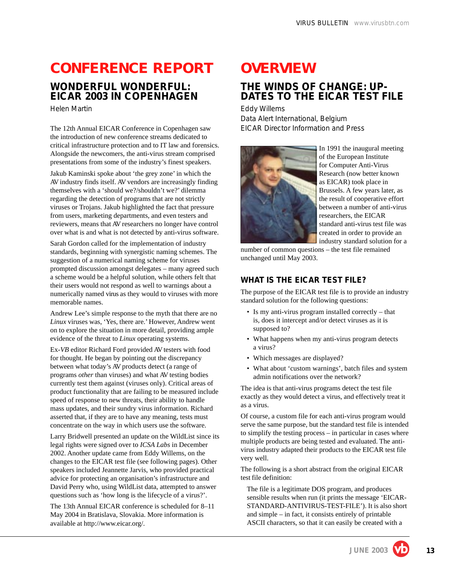# **CONFERENCE REPORT**

### **WONDERFUL WONDERFUL: EICAR 2003 IN COPENHAGEN**

*Helen Martin*

The 12th Annual EICAR Conference in Copenhagen saw the introduction of new conference streams dedicated to critical infrastructure protection and to IT law and forensics. Alongside the newcomers, the anti-virus stream comprised presentations from some of the industry's finest speakers.

Jakub Kaminski spoke about 'the grey zone' in which the AV industry finds itself. AV vendors are increasingly finding themselves with a 'should we?/shouldn't we?' dilemma regarding the detection of programs that are not strictly viruses or Trojans. Jakub highlighted the fact that pressure from users, marketing departments, and even testers and reviewers, means that AV researchers no longer have control over what is and what is not detected by anti-virus software.

Sarah Gordon called for the implementation of industry standards, beginning with synergistic naming schemes. The suggestion of a numerical naming scheme for viruses prompted discussion amongst delegates – many agreed such a scheme would be a helpful solution, while others felt that their users would not respond as well to warnings about a numerically named virus as they would to viruses with more memorable names.

Andrew Lee's simple response to the myth that there are no *Linux* viruses was, 'Yes, there are.' However, Andrew went on to explore the situation in more detail, providing ample evidence of the threat to *Linux* operating systems.

Ex-*VB* editor Richard Ford provided AV testers with food for thought. He began by pointing out the discrepancy between what today's AV products detect (a range of programs *other* than viruses) and what AV testing bodies currently test them against (viruses only). Critical areas of product functionality that are failing to be measured include speed of response to new threats, their ability to handle mass updates, and their sundry virus information. Richard asserted that, if they are to have any meaning, tests must concentrate on the way in which users use the software.

Larry Bridwell presented an update on the WildList since its legal rights were signed over to *ICSA Labs* in December 2002. Another update came from Eddy Willems, on the changes to the EICAR test file (see following pages). Other speakers included Jeannette Jarvis, who provided practical advice for protecting an organisation's infrastructure and David Perry who, using WildList data, attempted to answer questions such as 'how long is the lifecycle of a virus?'.

The 13th Annual EICAR conference is scheduled for 8–11 May 2004 in Bratislava, Slovakia. More information is available at http://www.eicar.org/.

# **OVERVIEW**

### **THE WINDS OF CHANGE: UP-DATES TO THE EICAR TEST FILE**

*Eddy Willems* Data Alert International, Belgium EICAR Director Information and Press



In 1991 the inaugural meeting of the European Institute for Computer Anti-Virus Research (now better known as EICAR) took place in Brussels. A few years later, as the result of cooperative effort between a number of anti-virus researchers, the EICAR standard anti-virus test file was created in order to provide an industry standard solution for a

number of common questions – the test file remained unchanged until May 2003.

#### **WHAT IS THE EICAR TEST FILE?**

The purpose of the EICAR test file is to provide an industry standard solution for the following questions:

- Is my anti-virus program installed correctly that is, does it intercept and/or detect viruses as it is supposed to?
- What happens when my anti-virus program detects a virus?
- Which messages are displayed?
- What about 'custom warnings', batch files and system admin notifications over the network?

The idea is that anti-virus programs detect the test file exactly as they would detect a virus, and effectively treat it as a virus.

Of course, a custom file for each anti-virus program would serve the same purpose, but the standard test file is intended to simplify the testing process – in particular in cases where multiple products are being tested and evaluated. The antivirus industry adapted their products to the EICAR test file very well.

The following is a short abstract from the original EICAR test file definition:

The file is a legitimate DOS program, and produces sensible results when run (it prints the message 'EICAR-STANDARD-ANTIVIRUS-TEST-FILE'). It is also short and simple – in fact, it consists entirely of printable ASCII characters, so that it can easily be created with a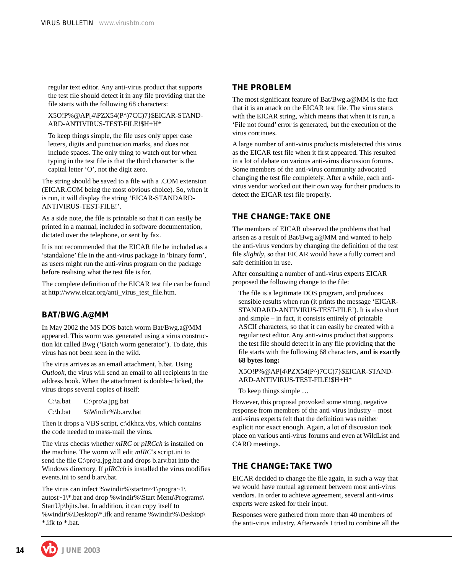regular text editor. Any anti-virus product that supports the test file should detect it in any file providing that the file starts with the following 68 characters:

X5O!P%@AP[4\PZX54(P^)7CC)7}\$EICAR-STAND-ARD-ANTIVIRUS-TEST-FILE!\$H+H\*

To keep things simple, the file uses only upper case letters, digits and punctuation marks, and does not include spaces. The only thing to watch out for when typing in the test file is that the third character is the capital letter 'O', not the digit zero.

The string should be saved to a file with a .COM extension (EICAR.COM being the most obvious choice). So, when it is run, it will display the string 'EICAR-STANDARD-ANTIVIRUS-TEST-FILE!'.

As a side note, the file is printable so that it can easily be printed in a manual, included in software documentation, dictated over the telephone, or sent by fax.

It is not recommended that the EICAR file be included as a 'standalone' file in the anti-virus package in 'binary form', as users might run the anti-virus program on the package before realising what the test file is for.

The complete definition of the EICAR test file can be found at http://www.eicar.org/anti\_virus\_test\_file.htm.

#### **BAT/BWG.A@MM**

In May 2002 the MS DOS batch worm Bat/Bwg.a@MM appeared. This worm was generated using a virus construction kit called Bwg ('Batch worm generator'). To date, this virus has not been seen in the wild.

The virus arrives as an email attachment, b.bat. Using *Outlook*, the virus will send an email to all recipients in the address book. When the attachment is double-clicked, the virus drops several copies of itself:

C:\a.bat C:\pro\a.jpg.bat

C:\b.bat %Windir%\b.arv.bat

Then it drops a VBS script, c:\dkhcz.vbs, which contains the code needed to mass-mail the virus.

The virus checks whether *mIRC* or *pIRCch* is installed on the machine. The worm will edit *mIRC*'s script.ini to send the file C:\pro\a.jpg.bat and drops b.arv.bat into the Windows directory. If *pIRCch* is installed the virus modifies events.ini to send b.arv.bat.

The virus can infect %windir%\startm~1\progra~1\ autost~1\\*.bat and drop %windir%\Start Menu\Programs\ StartUp\bjits.bat. In addition, it can copy itself to %windir%\Desktop\\*.ifk and rename %windir%\Desktop\ \*.ifk to \*.bat.

#### **THE PROBLEM**

The most significant feature of Bat/Bwg.a@MM is the fact that it is an attack on the EICAR test file. The virus starts with the EICAR string, which means that when it is run, a 'File not found' error is generated, but the execution of the virus continues.

A large number of anti-virus products misdetected this virus as the EICAR test file when it first appeared. This resulted in a lot of debate on various anti-virus discussion forums. Some members of the anti-virus community advocated changing the test file completely. After a while, each antivirus vendor worked out their own way for their products to detect the EICAR test file properly.

#### **THE CHANGE: TAKE ONE**

The members of EICAR observed the problems that had arisen as a result of Bat/Bwg.a@MM and wanted to help the anti-virus vendors by changing the definition of the test file *slightly*, so that EICAR would have a fully correct and safe definition in use.

After consulting a number of anti-virus experts EICAR proposed the following change to the file:

The file is a legitimate DOS program, and produces sensible results when run (it prints the message 'EICAR-STANDARD-ANTIVIRUS-TEST-FILE'). It is also short and simple – in fact, it consists entirely of printable ASCII characters, so that it can easily be created with a regular text editor. Any anti-virus product that supports the test file should detect it in any file providing that the file starts with the following 68 characters, **and is exactly 68 bytes long:**

X5O!P%@AP[4\PZX54(P^)7CC)7}\$EICAR-STAND-ARD-ANTIVIRUS-TEST-FILE!\$H+H\*

To keep things simple …

However, this proposal provoked some strong, negative response from members of the anti-virus industry – most anti-virus experts felt that the definition was neither explicit nor exact enough. Again, a lot of discussion took place on various anti-virus forums and even at WildList and CARO meetings.

#### **THE CHANGE: TAKE TWO**

EICAR decided to change the file again, in such a way that we would have mutual agreement between most anti-virus vendors. In order to achieve agreement, several anti-virus experts were asked for their input.

Responses were gathered from more than 40 members of the anti-virus industry. Afterwards I tried to combine all the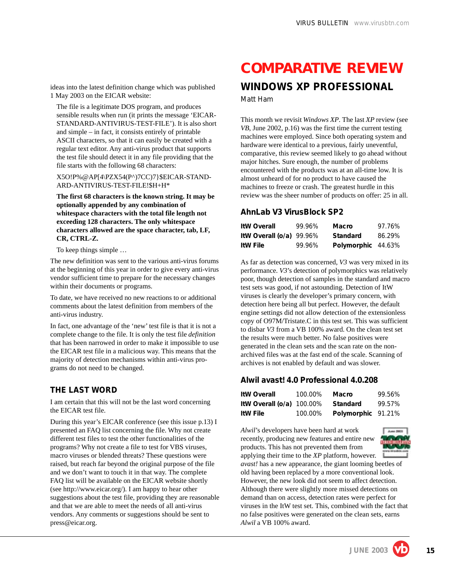ideas into the latest definition change which was published 1 May 2003 on the EICAR website:

The file is a legitimate DOS program, and produces sensible results when run (it prints the message 'EICAR-STANDARD-ANTIVIRUS-TEST-FILE'). It is also short and simple – in fact, it consists entirely of printable ASCII characters, so that it can easily be created with a regular text editor. Any anti-virus product that supports the test file should detect it in any file providing that the file starts with the following 68 characters:

X5O!P%@AP[4\PZX54(P^)7CC)7}\$EICAR-STAND-ARD-ANTIVIRUS-TEST-FILE!\$H+H\*

**The first 68 characters is the known string. It may be optionally appended by any combination of whitespace characters with the total file length not exceeding 128 characters. The only whitespace characters allowed are the space character, tab, LF, CR, CTRL-Z.**

To keep things simple …

The new definition was sent to the various anti-virus forums at the beginning of this year in order to give every anti-virus vendor sufficient time to prepare for the necessary changes within their documents or programs.

To date, we have received no new reactions to or additional comments about the latest definition from members of the anti-virus industry.

In fact, one advantage of the 'new' test file is that it is not a complete change to the file. It is only the test file *definition* that has been narrowed in order to make it impossible to use the EICAR test file in a malicious way. This means that the majority of detection mechanisms within anti-virus programs do not need to be changed.

#### **THE LAST WORD**

I am certain that this will not be the last word concerning the EICAR test file.

During this year's EICAR conference (see this issue p.13) I presented an FAQ list concerning the file. Why not create different test files to test the other functionalities of the programs? Why not create a file to test for VBS viruses, macro viruses or blended threats? These questions were raised, but reach far beyond the original purpose of the file and we don't want to touch it in that way. The complete FAQ list will be available on the EICAR website shortly (see http://www.eicar.org/). I am happy to hear other suggestions about the test file, providing they are reasonable and that we are able to meet the needs of all anti-virus vendors. Any comments or suggestions should be sent to press@eicar.org.

# **COMPARATIVE REVIEW**

#### **WINDOWS XP PROFESSIONAL** *Matt Ham*

This month we revisit *Windows XP*. The last *XP* review (see *VB*, June 2002, p.16) was the first time the current testing machines were employed. Since both operating system and hardware were identical to a previous, fairly uneventful, comparative, this review seemed likely to go ahead without major hitches. Sure enough, the number of problems encountered with the products was at an all-time low. It is almost unheard of for no product to have caused the machines to freeze or crash. The greatest hurdle in this review was the sheer number of products on offer: 25 in all.

#### **AhnLab V3 VirusBlock SP2**

| <b>ItW Overall</b>         | 99.96% | Macro              | 97.76% |
|----------------------------|--------|--------------------|--------|
| ItW Overall $(o/a)$ 99.96% |        | <b>Standard</b>    | 86.29% |
| <b>ItW File</b>            | 99.96% | Polymorphic 44.63% |        |

As far as detection was concerned, *V3* was very mixed in its performance. *V3*'s detection of polymorphics was relatively poor, though detection of samples in the standard and macro test sets was good, if not astounding. Detection of ItW viruses is clearly the developer's primary concern, with detection here being all but perfect. However, the default engine settings did not allow detection of the extensionless copy of O97M/Tristate.C in this test set. This was sufficient to disbar *V3* from a VB 100% award. On the clean test set the results were much better. No false positives were generated in the clean sets and the scan rate on the nonarchived files was at the fast end of the scale. Scanning of archives is not enabled by default and was slower.

#### **Alwil avast! 4.0 Professional 4.0.208**

| <b>ItW Overall</b>          | 100.00% | Macro              | 99.56% |
|-----------------------------|---------|--------------------|--------|
| ItW Overall $(o/a)$ 100.00% |         | Standard           | 99.57% |
| <b>ItW File</b>             | 100.00% | Polymorphic 91.21% |        |

*Alwil*'s developers have been hard at work recently, producing new features and entire new products. This has not prevented them from



applying their time to the *XP* platform, however. *avast!* has a new appearance, the giant looming beetles of old having been replaced by a more conventional look. However, the new look did not seem to affect detection. Although there were slightly more missed detections on demand than on access, detection rates were perfect for viruses in the ItW test set. This, combined with the fact that no false positives were generated on the clean sets, earns *Alwil* a VB 100% award.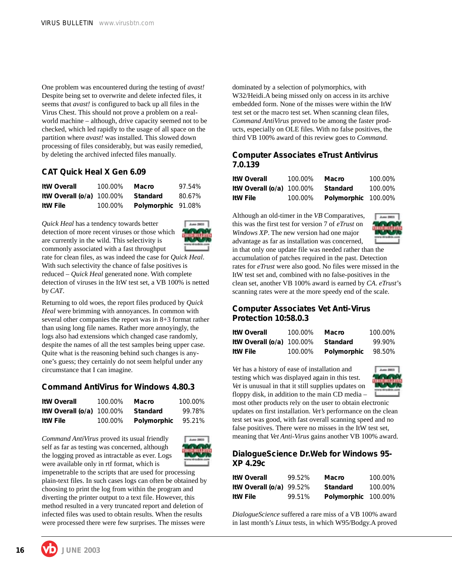One problem was encountered during the testing of *avast!* Despite being set to overwrite and delete infected files, it seems that *avast!* is configured to back up all files in the Virus Chest. This should not prove a problem on a realworld machine – although, drive capacity seemed not to be checked, which led rapidly to the usage of all space on the partition where *avast!* was installed. This slowed down processing of files considerably, but was easily remedied, by deleting the archived infected files manually.

#### **CAT Quick Heal X Gen 6.09**

| <b>ItW Overall</b>          | 100.00% | Macro              | 97.54% |
|-----------------------------|---------|--------------------|--------|
| ItW Overall $(o/a)$ 100.00% |         | Standard           | 80.67% |
| <b>ItW File</b>             | 100.00% | Polymorphic 91.08% |        |

*Quick Heal* has a tendency towards better detection of more recent viruses or those which are currently in the wild. This selectivity is commonly associated with a fast throughput



rate for clean files, as was indeed the case for *Quick Heal*. With such selectivity the chance of false positives is reduced – *Quick Heal* generated none. With complete detection of viruses in the ItW test set, a VB 100% is netted by *CAT*.

Returning to old woes, the report files produced by *Quick Heal* were brimming with annoyances. In common with several other companies the report was in 8+3 format rather than using long file names. Rather more annoyingly, the logs also had extensions which changed case randomly, despite the names of all the test samples being upper case. Quite what is the reasoning behind such changes is anyone's guess; they certainly do not seem helpful under any circumstance that I can imagine.

#### **Command AntiVirus for Windows 4.80.3**

| <b>ItW Overall</b>          | 100.00% | Macro       | 100.00% |
|-----------------------------|---------|-------------|---------|
| ItW Overall $(o/a)$ 100.00% |         | Standard    | 99.78%  |
| <b>ItW File</b>             | 100.00% | Polymorphic | 95.21%  |

*Command AntiVirus* proved its usual friendly self as far as testing was concerned, although the logging proved as intractable as ever. Logs were available only in rtf format, which is



impenetrable to the scripts that are used for processing plain-text files. In such cases logs can often be obtained by choosing to print the log from within the program and diverting the printer output to a text file. However, this method resulted in a very truncated report and deletion of infected files was used to obtain results. When the results were processed there were few surprises. The misses were

dominated by a selection of polymorphics, with W32/Heidi.A being missed only on access in its archive embedded form. None of the misses were within the ItW test set or the macro test set. When scanning clean files, *Command AntiVirus* proved to be among the faster products, especially on OLE files. With no false positives, the third VB 100% award of this review goes to *Command*.

#### **Computer Associates eTrust Antivirus 7.0.139**

| ItW Overall                  | 100.00% | Macro               | 100.00% |
|------------------------------|---------|---------------------|---------|
| ItW Overall (o/a) $100.00\%$ |         | Standard            | 100.00% |
| ItW File                     | 100.00% | Polymorphic 100.00% |         |

Although an old-timer in the *VB* Comparatives, this was the first test for version 7 of *eTrust* on *Windows XP*. The new version had one major advantage as far as installation was concerned,



in that only one update file was needed rather than the accumulation of patches required in the past. Detection rates for *eTrust* were also good. No files were missed in the ItW test set and, combined with no false-positives in the clean set, another VB 100% award is earned by *CA*. *eTrust*'s scanning rates were at the more speedy end of the scale.

#### **Computer Associates Vet Anti-Virus Protection 10:58.0.3**

| <b>ItW Overall</b>           | 100.00% | Macro       | 100.00% |
|------------------------------|---------|-------------|---------|
| ItW Overall (o/a) $100.00\%$ |         | Standard    | 99.90%  |
| ItW File                     | 100.00% | Polymorphic | 98.50%  |

*Vet* has a history of ease of installation and testing which was displayed again in this test. *Vet* is unusual in that it still supplies updates on floppy disk, in addition to the main CD media –



most other products rely on the user to obtain electronic updates on first installation. *Vet's* performance on the clean test set was good, with fast overall scanning speed and no false positives. There were no misses in the ItW test set, meaning that *Vet Anti-Virus* gains another VB 100% award.

#### **DialogueScience Dr.Web for Windows 95- XP 4.29c**

| <b>ItW Overall</b>         | 99.52% | Macro               | 100.00% |
|----------------------------|--------|---------------------|---------|
| ItW Overall $(o/a)$ 99.52% |        | <b>Standard</b>     | 100.00% |
| <b>ItW File</b>            | 99.51% | Polymorphic 100.00% |         |

*DialogueScience* suffered a rare miss of a VB 100% award in last month's *Linux* tests, in which W95/Bodgy.A proved

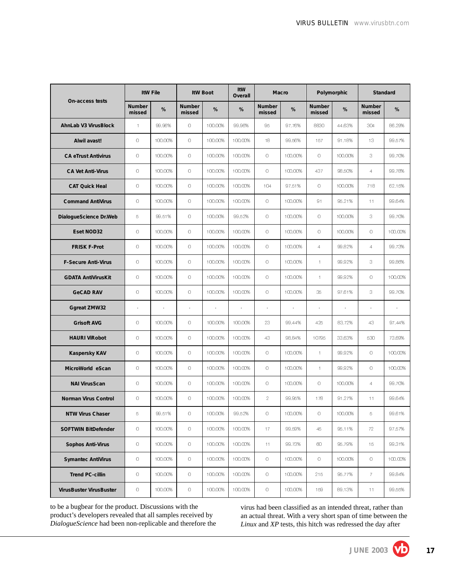|                             |                         | <b>ItW File</b> |                         | <b>ItW Boot</b> | ItW<br>Overall        |                          | Macro   |                         | Polymorphic        |                         | Standard |
|-----------------------------|-------------------------|-----------------|-------------------------|-----------------|-----------------------|--------------------------|---------|-------------------------|--------------------|-------------------------|----------|
| On-access tests             | <b>Number</b><br>missed | %               | <b>Number</b><br>missed | %               | %                     | <b>Number</b><br>missed  | %       | <b>Number</b><br>missed | %                  | <b>Number</b><br>missed | %        |
| <b>AhnLab V3 VirusBlock</b> | $\mathbf{1}$            | 99.96%          | $\circ$                 | 100.00%         | 99.96%                | 95                       | 97.76%  | 8830                    | 44.63%             | 304                     | 86.29%   |
| Alwil avast!                | $\circ$                 | 100.00%         | $\circ$                 | 100.00%         | 100.00%               | 18                       | 99.56%  | 157                     | 91.18%             | 13                      | 99.57%   |
| <b>CA eTrust Antivirus</b>  | $\circ$                 | 100.00%         | $\circ$                 | 100.00%         | 100.00%               | $\circ$                  | 100.00% | $\Omega$                | 100.00%            | 3                       | 99.70%   |
| <b>CA Vet Anti-Virus</b>    | $\circ$                 | 100.00%         | $\circ$                 | 100.00%         | 100.00%               | $\circ$                  | 100.00% | 437                     | 98.50%             | $\overline{4}$          | 99.78%   |
| <b>CAT Quick Heal</b>       | $\circ$                 | 100.00%         | $\circ$                 | 100.00%         | 100.00%               | 104                      | 97.51%  | $\circ$                 | 100.00%            | 718                     | 62.15%   |
| <b>Command AntiVirus</b>    | $\circ$                 | 100.00%         | $\circ$                 | 100.00%         | 100.00%               | 0                        | 100.00% | 91                      | 95.21%             | 11                      | 99.64%   |
| DialogueScience Dr.Web      | 5                       | 99.51%          | $\circ$                 | 100.00%         | 99.52%                | $\circ$                  | 100.00% | $\circ$                 | 100.00%            | 3                       | 99.70%   |
| Eset NOD32                  | $\circ$                 | 100.00%         | $\circ$                 | 100.00%         | 100.00%               | $\circ$                  | 100.00% | $\circ$                 | 100.00%            | $\circ$                 | 100.00%  |
| <b>FRISK F-Prot</b>         | $\circ$                 | 100.00%         | $\circ$                 | 100.00%         | 100.00%               | $\circ$                  | 100.00% | $\overline{4}$          | 99.82%             | $\overline{4}$          | 99.73%   |
| <b>F-Secure Anti-Virus</b>  | $\circ$                 | 100.00%         | $\circ$                 | 100.00%         | 100.00%               | $\circ$                  | 100.00% | $\mathbf{1}$            | 99.92%             | 3                       | 99.86%   |
| <b>GDATA AntiVirusKit</b>   | $\circ$                 | 100.00%         | $\circ$                 | 100.00%         | 100.00%               | $\circ$                  | 100.00% | $\mathbf{1}$            | 99.92%             | $\circ$                 | 100.00%  |
| <b>GeCAD RAV</b>            | $\circ$                 | 100.00%         | $\circ$                 | 100.00%         | 100.00%               | $\circ$                  | 100.00% | 35                      | 97.61%             | 3                       | 99.70%   |
| <b>Ggreat ZMW32</b>         | ÷                       |                 | $\tilde{\phantom{a}}$   |                 | $\tilde{\phantom{a}}$ | $\overline{\phantom{a}}$ |         |                         | $\hat{\mathbf{r}}$ |                         |          |
| <b>Grisoft AVG</b>          | $\circ$                 | 100.00%         | $\circ$                 | 100.00%         | 100.00%               | 23                       | 99.44%  | 425                     | 83.72%             | 43                      | 97 44%   |
| <b>HAURI ViRobot</b>        | $\circ$                 | 100.00%         | $\circ$                 | 100.00%         | 100.00%               | 43                       | 98.84%  | 10795                   | 33.63%             | 530                     | 73.69%   |
| <b>Kaspersky KAV</b>        | $\circ$                 | 100.00%         | $\circ$                 | 100.00%         | 100.00%               | $\circ$                  | 100.00% | $\mathbf{1}$            | 99.92%             | $\circ$                 | 100.00%  |
| MicroWorld eScan            | $\circ$                 | 100.00%         | $\circ$                 | 100.00%         | 100.00%               | $\circ$                  | 100.00% | $\mathbf{1}$            | 99.92%             | 0                       | 100.00%  |
| <b>NAI VirusScan</b>        | $\circ$                 | 100.00%         | $\circ$                 | 100.00%         | 100.00%               | $\circ$                  | 100.00% | $\circ$                 | 100.00%            | $\overline{4}$          | 99.70%   |
| <b>Norman Virus Control</b> | $\circ$                 | 100.00%         | $\circ$                 | 100.00%         | 100.00%               | $\overline{2}$           | 99.95%  | 178                     | 91.27%             | 11                      | 99.64%   |
| <b>NTW Virus Chaser</b>     | 5                       | 99.51%          | 0                       | 100.00%         | 99.52%                | 0                        | 100.00% | 0                       | 100.00%            | 5.                      | 99.61%   |
| <b>SOFTWIN BitDefender</b>  | $\hbox{O}$              | 100.00%         | $\hbox{O}$              | 100.00%         | 100.00%               | 17                       | 99.59%  | 45                      | 95.11%             | 72                      | 97.57%   |
| <b>Sophos Anti-Virus</b>    | $\circ$                 | 100.00%         | $\circ$                 | 100.00%         | 100.00%               | 11                       | 99.73%  | $\infty$                | 95.79%             | 15                      | 99.31%   |
| <b>Symantec AntiVirus</b>   | $\hbox{O}$              | 100.00%         | $\circ$                 | 100.00%         | 100.00%               | $\circ$                  | 100.00% | $\circ$                 | 100.00%            | $\circ$                 | 100.00%  |
| <b>Trend PC-cillin</b>      | $\circ$                 | 100.00%         | $\circ$                 | 100.00%         | 100.00%               | $\circ$                  | 100.00% | 215                     | 95.77%             | $7^{\circ}$             | 99.84%   |
| VirusBuster VirusBuster     | $\hbox{O}$              | 100.00%         | $\hbox{O}$              | 100.00%         | 100.00%               | $\circ$                  | 100.00% | 159                     | 89.13%             | 11                      | 99.55%   |

to be a bugbear for the product. Discussions with the product's developers revealed that all samples received by *DialogueScience* had been non-replicable and therefore the

virus had been classified as an intended threat, rather than an actual threat. With a very short span of time between the *Linux* and *XP* tests, this hitch was redressed the day after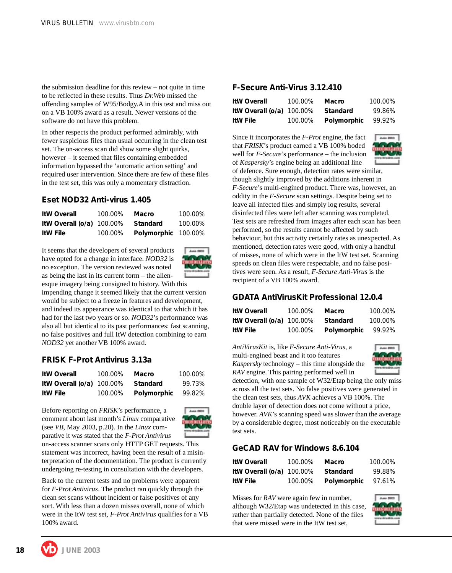the submission deadline for this review – not quite in time to be reflected in these results. Thus *Dr.Web* missed the offending samples of W95/Bodgy.A in this test and miss out on a VB 100% award as a result. Newer versions of the software do not have this problem.

In other respects the product performed admirably, with fewer suspicious files than usual occurring in the clean test set. The on-access scan did show some slight quirks, however – it seemed that files containing embedded information bypassed the 'automatic action setting' and required user intervention. Since there are few of these files in the test set, this was only a momentary distraction.

#### **Eset NOD32 Anti-virus 1.405**

| <b>ItW Overall</b>          | 100.00% | <b>Macro</b>        | 100.00% |
|-----------------------------|---------|---------------------|---------|
| ItW Overall $(o/a)$ 100.00% |         | Standard            | 100.00% |
| <b>ItW File</b>             | 100.00% | Polymorphic 100.00% |         |

It seems that the developers of several products have opted for a change in interface. *NOD32* is no exception. The version reviewed was noted as being the last in its current form – the alien-



esque imagery being consigned to history. With this impending change it seemed likely that the current version would be subject to a freeze in features and development, and indeed its appearance was identical to that which it has had for the last two years or so. *NOD32*'s performance was also all but identical to its past performances: fast scanning, no false positives and full ItW detection combining to earn *NOD32* yet another VB 100% award.

#### **FRISK F-Prot Antivirus 3.13a**

| <b>ItW Overall</b>          | 100.00% | Macro       | 100.00% |
|-----------------------------|---------|-------------|---------|
| ItW Overall $(o/a)$ 100.00% |         | Standard    | 99.73%  |
| <b>ItW File</b>             | 100.00% | Polymorphic | 99.82%  |

Before reporting on *FRISK*'s performance, a comment about last month's *Linux* comparative (see *VB*, May 2003, p.20). In the *Linux* comparative it was stated that the *F-Prot Antivirus*



on-access scanner scans only HTTP GET requests. This statement was incorrect, having been the result of a misinterpretation of the documentation. The product is currently undergoing re-testing in consultation with the developers.

Back to the current tests and no problems were apparent for *F-Prot Antivirus*. The product ran quickly through the clean set scans without incident or false positives of any sort. With less than a dozen misses overall, none of which were in the ItW test set, *F-Prot Antivirus* qualifies for a VB 100% award.

#### **F-Secure Anti-Virus 3.12.410**

| <b>ItW Overall</b>          | 100.00% | Macro       | 100.00% |
|-----------------------------|---------|-------------|---------|
| ItW Overall $(o/a)$ 100.00% |         | Standard    | 99.86%  |
| <b>ItW File</b>             | 100.00% | Polymorphic | 99.92%  |

Since it incorporates the *F-Prot* engine, the fact that *FRISK*'s product earned a VB 100% boded well for *F-Secure*'s performance – the inclusion



of *Kaspersky*'s engine being an additional line of defence. Sure enough, detection rates were similar, though slightly improved by the additions inherent in *F-Secure*'s multi-engined product. There was, however, an oddity in the *F-Secure* scan settings. Despite being set to leave all infected files and simply log results, several disinfected files were left after scanning was completed. Test sets are refreshed from images after each scan has been performed, so the results cannot be affected by such behaviour, but this activity certainly rates as unexpected. As mentioned, detection rates were good, with only a handful of misses, none of which were in the ItW test set. Scanning speeds on clean files were respectable, and no false positives were seen. As a result, *F-Secure Anti-Virus* is the recipient of a VB 100% award.

#### **GDATA AntiVirusKit Professional 12.0.4**

| <b>ItW Overall</b>          | 100.00% | Macro       | 100.00% |
|-----------------------------|---------|-------------|---------|
| ItW Overall $(o/a)$ 100.00% |         | Standard    | 100.00% |
| <b>ItW File</b>             | 100.00% | Polymorphic | 99.92%  |

*AntiVirusKit* is, like *F-Secure Anti-Virus*, a multi-engined beast and it too features *Kaspersky* technology – this time alongside the *RAV* engine. This pairing performed well in



detection, with one sample of W32/Etap being the only miss across all the test sets. No false positives were generated in the clean test sets, thus *AVK* achieves a VB 100%. The double layer of detection does not come without a price, however. *AVK*'s scanning speed was slower than the average by a considerable degree, most noticeably on the executable test sets.

#### **GeCAD RAV for Windows 8.6.104**

| <b>ItW Overall</b>          | 100.00% | Macro              | 100.00% |
|-----------------------------|---------|--------------------|---------|
| ItW Overall $(o/a)$ 100.00% |         | Standard           | 99.88%  |
| <b>ItW File</b>             | 100.00% | Polymorphic 97.61% |         |

Misses for *RAV* were again few in number, although W32/Etap was undetected in this case, rather than partially detected. None of the files that were missed were in the ItW test set,

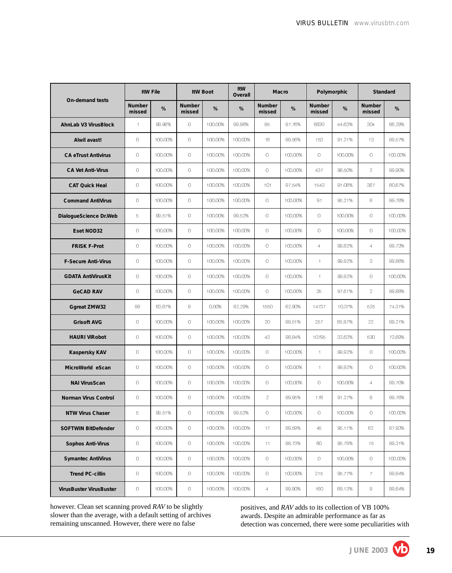|                             |                         | <b>ItW File</b> |                         | <b>ItW Boot</b> | ItW<br>Overall |                         | Macro   |                         | Polymorphic |                  | Standard |
|-----------------------------|-------------------------|-----------------|-------------------------|-----------------|----------------|-------------------------|---------|-------------------------|-------------|------------------|----------|
| On-demand tests             | <b>Number</b><br>missed | %               | <b>Number</b><br>missed | %               | %              | <b>Number</b><br>missed | %       | <b>Number</b><br>missed | %           | Number<br>missed | %        |
| <b>AhnLab V3 VirusBlock</b> | $\mathbf{1}$            | 99.96%          | $\circ$                 | 100.00%         | 99.96%         | 95                      | 97.76%  | 8830                    | 44.63%      | 304              | 86.29%   |
| Alwil avast!                | $\hbox{O}$              | 100.00%         | $\circ$                 | 100.00%         | 100.00%        | 18                      | 99.56%  | 153                     | 91.21%      | 13               | 99.57%   |
| <b>CA eTrust Antivirus</b>  | $\circ$                 | 100.00%         | $\circ$                 | 100.00%         | 100.00%        | $\circ$                 | 100.00% | $\circ$                 | 100.00%     | $\circ$          | 100.00%  |
| <b>CA Vet Anti-Virus</b>    | $\circ$                 | 100.00%         | $\circ$                 | 100.00%         | 100.00%        | $\circ$                 | 100.00% | 437                     | 98.50%      | $\overline{2}$   | 99.90%   |
| <b>CAT Quick Heal</b>       | $\circ$                 | 100.00%         | $\circ$                 | 100.00%         | 100.00%        | 101                     | 97.54%  | 1543                    | 91.08%      | 367              | 80.67%   |
| <b>Command AntiVirus</b>    | $\circ$                 | 100.00%         | $\circ$                 | 100.00%         | 100.00%        | $\circ$                 | 100.00% | 91                      | 95.21%      | 8                | 99.78%   |
| DialogueScience Dr.Web      | 5                       | 99.51%          | $\circ$                 | 100.00%         | 99.52%         | $\circ$                 | 100.00% | $\circ$                 | 100.00%     | $\circ$          | 100.00%  |
| Eset NOD32                  | $\circ$                 | 100.00%         | 0                       | 100.00%         | 100.00%        | $\circ$                 | 100.00% | $\circ$                 | 100.00%     | $\circ$          | 100.00%  |
| <b>FRISK F-Prot</b>         | $\hbox{O}$              | 100.00%         | $\circ$                 | 100.00%         | 100.00%        | $\circ$                 | 100.00% | $\overline{4}$          | 99.82%      | $\overline{4}$   | 99.73%   |
| <b>F-Secure Anti-Virus</b>  | $\circ$                 | 100.00%         | $\circ$                 | 100.00%         | 100.00%        | $\circ$                 | 100.00% | $\uparrow$              | 99.92%      | 3                | 99.86%   |
| <b>GDATA AntiVirusKit</b>   | $\circ$                 | 100.00%         | $\circ$                 | 100.00%         | 100.00%        | $\circ$                 | 100.00% | $\mathbf{1}$            | 99.92%      | $\circ$          | 100.00%  |
| <b>GeCAD RAV</b>            | $\circ$                 | 100.00%         | $\circ$                 | 100.00%         | 100.00%        | $\circ$                 | 100.00% | 35                      | 97.61%      | $\overline{2}$   | 99.88%   |
| <b>Ggreat ZMW32</b>         | 99                      | 83.67%          | $\circ$                 | 0.00%           | 82.29%         | 1550                    | 62.90%  | 14737                   | 10.37%      | 525              | 74.31%   |
| <b>Grisoft AVG</b>          | $\circ$                 | 100.00%         | $\circ$                 | 100.00%         | 100.00%        | 20                      | 99.51%  | 257                     | 85.97%      | 22               | 99.21%   |
| <b>HAURI ViRobot</b>        | $\circ$                 | 100.00%         | 0                       | 100.00%         | 100.00%        | 43                      | 98.84%  | 10795                   | 33.63%      | 530              | 73.69%   |
| <b>Kaspersky KAV</b>        | $\circ$                 | 100.00%         | $\circ$                 | 100.00%         | 100.00%        | $\circ$                 | 100.00% | $\mathbf{1}$            | 99.92%      | $\circ$          | 100.00%  |
| MicroWorld eScan            | $\hbox{O}$              | 100.00%         | $\circ$                 | 100.00%         | 100.00%        | $\circ$                 | 100.00% | $\mathbf{1}$            | 99.92%      | $\circ$          | 100.00%  |
| <b>NAI VirusScan</b>        | $\circ$                 | 100.00%         | $\circ$                 | 100.00%         | 100.00%        | $\circ$                 | 100.00% | $\circ$                 | 100.00%     | $\overline{4}$   | 99.70%   |
| <b>Norman Virus Control</b> | $\circ$                 | 100.00%         | 0                       | 100.00%         | 100.00%        | $\mathbf{2}$            | 99.95%  | 178                     | 91.27%      | 9                | 99.76%   |
| <b>NTW Virus Chaser</b>     | 5                       | 99.51%          | $\circ$                 | 100.00%         | 99.52%         | 0                       | 100.00% | 0                       | 100.00%     | 0.               | 100.00%  |
| <b>SOFTWIN BitDefender</b>  | $\mathbb O$             | 100.00%         | $\circ$                 | 100.00%         | 100.00%        | 17                      | 99.59%  | 45                      | 95.11%      | 62               | 97.93%   |
| <b>Sophos Anti-Virus</b>    | 0                       | 100.00%         | $\mathbb O$             | 100.00%         | 100.00%        | 11                      | 99.73%  | $\otimes$               | 95.79%      | 15               | 99.31%   |
| <b>Symantec AntiVirus</b>   | $\mathbb O$             | 100.00%         | $\hbox{O}$              | 100.00%         | 100.00%        | $\circ$                 | 100.00% | $\circ$                 | 100.00%     | $\circ$          | 100.00%  |
| <b>Trend PC-cillin</b>      | $\mathbb O$             | 100.00%         | $\circ$                 | 100.00%         | 100.00%        | $\circ$                 | 100.00% | 215                     | 95.77%      | $\overline{7}$   | 99.84%   |
| VirusBuster VirusBuster     | 0                       | 100.00%         | $\circ$                 | 100.00%         | 100.00%        | $\overline{4}$          | 99.90%  | 160                     | 89.13%      | 9                | 99.64%   |

however. Clean set scanning proved *RAV* to be slightly slower than the average, with a default setting of archives remaining unscanned. However, there were no false

positives, and *RAV* adds to its collection of VB 100% awards. Despite an admirable performance as far as detection was concerned, there were some peculiarities with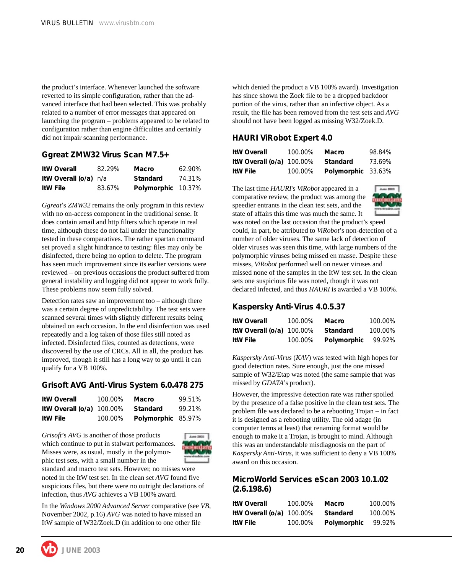the product's interface. Whenever launched the software reverted to its simple configuration, rather than the advanced interface that had been selected. This was probably related to a number of error messages that appeared on launching the program – problems appeared to be related to configuration rather than engine difficulties and certainly did not impair scanning performance.

#### **Ggreat ZMW32 Virus Scan M7.5+**

| <b>ItW Overall</b>           | 82.29% | Macro              | 62.90% |
|------------------------------|--------|--------------------|--------|
| <b>ItW Overall (o/a)</b> n/a |        | <b>Standard</b>    | 74.31% |
| <b>ItW File</b>              | 83.67% | Polymorphic 10.37% |        |

*Ggreat*'s *ZMW32* remains the only program in this review with no on-access component in the traditional sense. It does contain amail and http filters which operate in real time, although these do not fall under the functionality tested in these comparatives. The rather spartan command set proved a slight hindrance to testing: files may only be disinfected, there being no option to delete. The program has seen much improvement since its earlier versions were reviewed – on previous occasions the product suffered from general instability and logging did not appear to work fully. These problems now seem fully solved.

Detection rates saw an improvement too – although there was a certain degree of unpredictability. The test sets were scanned several times with slightly different results being obtained on each occasion. In the end disinfection was used repeatedly and a log taken of those files still noted as infected. Disinfected files, counted as detections, were discovered by the use of CRCs. All in all, the product has improved, though it still has a long way to go until it can qualify for a VB 100%.

#### **Grisoft AVG Anti-Virus System 6.0.478 275**

| <b>ItW Overall</b>          | 100.00% | Macro              | 99.51% |
|-----------------------------|---------|--------------------|--------|
| ItW Overall $(o/a)$ 100.00% |         | Standard           | 99.21% |
| <b>ItW File</b>             | 100.00% | Polymorphic 85.97% |        |

*Grisoft*'s *AVG* is another of those products which continue to put in stalwart performances. Misses were, as usual, mostly in the polymorphic test sets, with a small number in the



standard and macro test sets. However, no misses were noted in the ItW test set. In the clean set *AVG* found five suspicious files, but there were no outright declarations of infection, thus *AVG* achieves a VB 100% award.

In the *Windows 2000 Advanced Server* comparative (see *VB*, November 2002, p.16) *AVG* was noted to have missed an ItW sample of W32/Zoek.D (in addition to one other file

which denied the product a VB 100% award). Investigation has since shown the Zoek file to be a dropped backdoor portion of the virus, rather than an infective object. As a result, the file has been removed from the test sets and *AVG* should not have been logged as missing W32/Zoek.D.

#### **HAURI ViRobot Expert 4.0**

| <b>ItW Overall</b>          | 100.00% | Macro              | 98.84% |
|-----------------------------|---------|--------------------|--------|
| ItW Overall $(o/a)$ 100.00% |         | Standard           | 73.69% |
| <b>ItW File</b>             | 100.00% | Polymorphic 33.63% |        |

The last time *HAURI*'s *ViRobot* appeared in a comparative review, the product was among the speedier entrants in the clean test sets, and the state of affairs this time was much the same. It



was noted on the last occasion that the product's speed could, in part, be attributed to *ViRobot*'s non-detection of a number of older viruses. The same lack of detection of older viruses was seen this time, with large numbers of the polymorphic viruses being missed en masse. Despite these misses, *ViRobot* performed well on newer viruses and missed none of the samples in the ItW test set. In the clean sets one suspicious file was noted, though it was not declared infected, and thus *HAURI* is awarded a VB 100%.

#### **Kaspersky Anti-Virus 4.0.5.37**

| <b>ItW Overall</b>          | 100.00% | Macro       | 100.00% |
|-----------------------------|---------|-------------|---------|
| ItW Overall $(o/a)$ 100.00% |         | Standard    | 100.00% |
| ItW File                    | 100.00% | Polymorphic | 99.92%  |

*Kaspersky Anti-Virus* (*KAV*) was tested with high hopes for good detection rates. Sure enough, just the one missed sample of W32/Etap was noted (the same sample that was missed by *GDATA*'s product).

However, the impressive detection rate was rather spoiled by the presence of a false positive in the clean test sets. The problem file was declared to be a rebooting Trojan – in fact it is designed as a rebooting utility. The old adage (in computer terms at least) that renaming format would be enough to make it a Trojan, is brought to mind. Although this was an understandable misdiagnosis on the part of *Kaspersky Anti-Virus*, it was sufficient to deny a VB 100% award on this occasion.

#### **MicroWorld Services eScan 2003 10.1.02 (2.6.198.6)**

| <b>ItW Overall</b>          | 100.00% | Macro       | 100.00% |
|-----------------------------|---------|-------------|---------|
| ItW Overall $(o/a)$ 100.00% |         | Standard    | 100.00% |
| ItW File                    | 100.00% | Polymorphic | 99.92%  |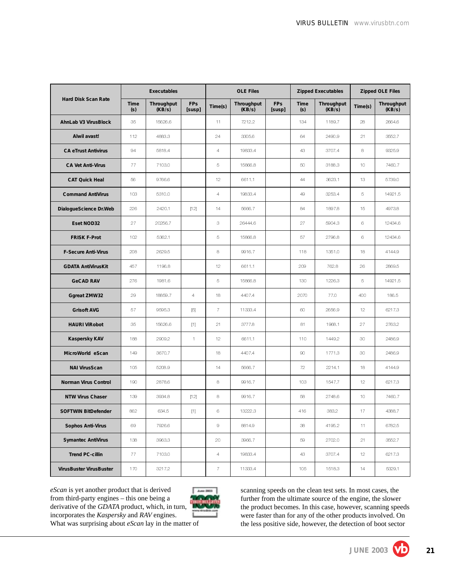|                             | <b>Executables</b> |                      | <b>OLE Files</b>     |                                                           | <b>Zipped Executables</b> |                      | <b>Zipped OLE Files</b> |                      |                 |                      |
|-----------------------------|--------------------|----------------------|----------------------|-----------------------------------------------------------|---------------------------|----------------------|-------------------------|----------------------|-----------------|----------------------|
| <b>Hard Disk Scan Rate</b>  | <b>Time</b><br>(s) | Throughput<br>(KB/s) | <b>FPs</b><br>[susp] | Time(s)                                                   | Throughput<br>(KB/s)      | <b>FPs</b><br>[susp] | Time<br>(s)             | Throughput<br>(KB/s) | Time(s)         | Throughput<br>(KB/s) |
| <b>AhnLab V3 VirusBlock</b> | 35                 | 15626.6              |                      | 11                                                        | 7212.2                    |                      | 134                     | 1189.7               | 28              | 2664.6               |
| Alwil avast!                | 112                | 4883.3               |                      | 24                                                        | 3305.6                    |                      | 64                      | 2490.9               | 21              | 3552.7               |
| <b>CA eTrust Antivirus</b>  | 94                 | 5818.4               |                      | $\overline{4}$                                            | 19833.4                   |                      | 43                      | 3707.4               | 8               | 9325.9               |
| <b>CA Vet Anti-Virus</b>    | 77                 | 7103.0               |                      | 5                                                         | 15866.8                   |                      | 50                      | 3188.3               | 10              | 7460.7               |
| <b>CAT Quick Heal</b>       | 56                 | 9766.6               |                      | 12                                                        | 6611.1                    |                      | 44                      | 3623.1               | 13              | 5739.0               |
| <b>Command AntiVirus</b>    | 103                | 5310.0               |                      | $\overline{4}$                                            | 19833.4                   |                      | 49                      | 3253.4               | 5               | 14921.5              |
| DialogueScience Dr.Web      | 226                | 2420.1               | $[12]$               | 14                                                        | 5666.7                    |                      | 84                      | 1897.8               | 15              | 4973.8               |
| Eset NOD32                  | 27                 | 20256.7              |                      | 3                                                         | 26444.6                   |                      | 27                      | 5904.3               | $_{\rm 6}$      | 12434.6              |
| <b>FRISK F-Prot</b>         | 102                | 5362.1               |                      | 5                                                         | 15866.8                   |                      | 57                      | 2796.8               | $_{\rm 6}$      | 12434.6              |
| <b>F-Secure Anti-Virus</b>  | 208                | 2629.5               |                      | 8                                                         | 9916.7                    |                      | 118                     | 1351.0               | 18              | 4144.9               |
| <b>GDATA AntiVirusKit</b>   | 457                | 1196.8               |                      | 12                                                        | 6611.1                    |                      | 209                     | 762.8                | 26              | 2869.5               |
| <b>GeCAD RAV</b>            | 276                | 1981.6               |                      | $\overline{5}$                                            | 15866.8                   |                      | 130                     | 1226.3               | $\bar{5}$       | 14921.5              |
| <b>Ggreat ZMW32</b>         | 29                 | 18859.7              | $\overline{4}$       | 18                                                        | 4407.4                    |                      | 2070                    | 77.0                 | 400             | 186.5                |
| <b>Grisoft AVG</b>          | 57                 | 9595.3               | $[5]$                | $\overline{7}$                                            | 11333.4                   |                      | 60                      | 2656.9               | 12              | 6217.3               |
| <b>HAURI ViRobot</b>        | 35                 | 15626.6              | $[1]$                | 21                                                        | 3777.8                    |                      | 81                      | 1968.1               | 27              | 2763.2               |
| <b>Kaspersky KAV</b>        | 188                | 2909.2               | $\mathbf{1}$         | 12 <sub>2</sub>                                           | 6611.1                    |                      | 110                     | 1449.2               | 30              | 2486.9               |
| MicroWorld eScan            | 149                | 3670.7               |                      | 18                                                        | 4407.4                    |                      | 90                      | 1771.3               | 30              | 2486.9               |
| <b>NAI VirusScan</b>        | 105                | 5208.9               |                      | 14                                                        | 5666.7                    |                      | 72                      | 2214.1               | 18              | 4144.9               |
| Norman Virus Control        | 190                | 2878.6               |                      | 8                                                         | 9916.7                    |                      | 103                     | 1547.7               | 12              | 6217.3               |
| <b>NTW Virus Chaser</b>     | 139                | 3934.8               | $[12]$               | 8                                                         | 9916.7                    |                      | 58                      | 2748.6               | 10              | 7460.7               |
| <b>SOFTWIN BitDefender</b>  | 862                | 634.5                | $[1]$                | 6                                                         | 13222.3                   |                      | 416                     | 383.2                | 17              | 4388.7               |
| <b>Sophos Anti-Virus</b>    | 69                 | 7926.6               |                      | $\mathcal{G}% _{M_{1},M_{2}}^{\alpha,\beta}(\mathcal{G})$ | 8814.9                    |                      | 38                      | 4195.2               | 11              | 6782.5               |
| <b>Symantec AntiVirus</b>   | 138                | 3963.3               |                      | 20                                                        | 3966.7                    |                      | 59                      | 2702.0               | 21              | 3552.7               |
| <b>Trend PC-cillin</b>      | 77                 | 7103.0               |                      | $\overline{4}$                                            | 19833.4                   |                      | 43                      | 3707.4               | 12 <sub>2</sub> | 6217.3               |
| VirusBuster VirusBuster     | 170                | 3217.2               |                      | $7\,$                                                     | 11333.4                   |                      | 105                     | 1518.3               | 14              | 5329.1               |

*eScan* is yet another product that is derived from third-party engines – this one being a derivative of the *GDATA* product, which, in turn, incorporates the *Kaspersky* and *RAV* engines.



What was surprising about *eScan* lay in the matter of

scanning speeds on the clean test sets. In most cases, the further from the ultimate source of the engine, the slower the product becomes. In this case, however, scanning speeds were faster than for any of the other products involved. On the less positive side, however, the detection of boot sector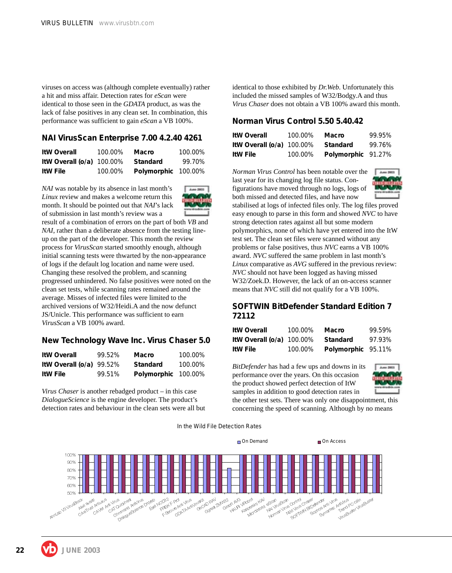viruses on access was (although complete eventually) rather a hit and miss affair. Detection rates for *eScan* were identical to those seen in the *GDATA* product, as was the lack of false positives in any clean set. In combination, this performance was sufficient to gain *eScan* a VB 100%.

#### **NAI VirusScan Enterprise 7.00 4.2.40 4261**

| <b>ItW Overall</b>          | 100.00% | <b>Macro</b>        | 100.00% |
|-----------------------------|---------|---------------------|---------|
| ItW Overall $(o/a)$ 100.00% |         | Standard            | 99.70%  |
| <b>ItW File</b>             | 100.00% | Polymorphic 100.00% |         |

*NAI* was notable by its absence in last month's *Linux* review and makes a welcome return this month. It should be pointed out that *NAI*'s lack of submission in last month's review was a



result of a combination of errors on the part of both *VB* and *NAI*, rather than a deliberate absence from the testing lineup on the part of the developer. This month the review process for *VirusScan* started smoothly enough, although initial scanning tests were thwarted by the non-appearance of logs if the default log location and name were used. Changing these resolved the problem, and scanning progressed unhindered. No false positives were noted on the clean set tests, while scanning rates remained around the average. Misses of infected files were limited to the archived versions of W32/Heidi.A and the now defunct JS/Unicle. This performance was sufficient to earn *VirusScan* a VB 100% award.

#### **New Technology Wave Inc. Virus Chaser 5.0**

| <b>ItW Overall</b>         | 99.52% | Macro               | 100.00% |
|----------------------------|--------|---------------------|---------|
| ItW Overall $(o/a)$ 99.52% |        | <b>Standard</b>     | 100.00% |
| <b>ItW File</b>            | 99.51% | Polymorphic 100.00% |         |

*Virus Chaser* is another rebadged product – in this case *DialogueScience* is the engine developer. The product's detection rates and behaviour in the clean sets were all but identical to those exhibited by *Dr.Web*. Unfortunately this included the missed samples of W32/Bodgy.A and thus *Virus Chaser* does not obtain a VB 100% award this month.

#### **Norman Virus Control 5.50 5.40.42**

| <b>ItW Overall</b>          | 100.00% | Macro              | 99.95% |
|-----------------------------|---------|--------------------|--------|
| ItW Overall $(o/a)$ 100.00% |         | Standard           | 99.76% |
| <b>ItW File</b>             | 100.00% | Polymorphic 91.27% |        |

*Norman Virus Control* has been notable over the last year for its changing log file status. Configurations have moved through no logs, logs of both missed and detected files, and have now



stabilised at logs of infected files only. The log files proved easy enough to parse in this form and showed *NVC* to have strong detection rates against all but some modern polymorphics, none of which have yet entered into the ItW test set. The clean set files were scanned without any problems or false positives, thus *NVC* earns a VB 100% award. *NVC* suffered the same problem in last month's *Linux* comparative as *AVG* suffered in the previous review: *NVC* should not have been logged as having missed W32/Zoek.D. However, the lack of an on-access scanner means that *NVC* still did not qualify for a VB 100%.

#### **SOFTWIN BitDefender Standard Edition 7 72112**

| <b>ItW Overall</b>          | 100.00% | Macro              | 99.59% |
|-----------------------------|---------|--------------------|--------|
| ItW Overall $(o/a)$ 100.00% |         | Standard           | 97.93% |
| ItW File                    | 100.00% | Polymorphic 95.11% |        |

*BitDefender* has had a few ups and downs in its performance over the years. On this occasion the product showed perfect detection of ItW samples in addition to good detection rates in



the other test sets. There was only one disappointment, this concerning the speed of scanning. Although by no means

In the Wild File Detection Rates

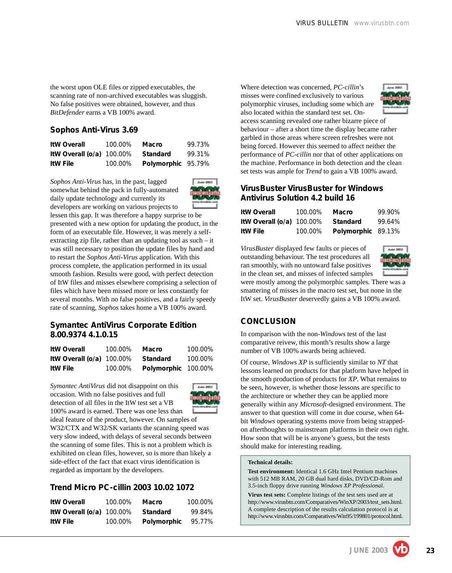the worst upon OLE files or zipped executables, the scanning rate of non-archived executables was sluggish. No false positives were obtained, however, and thus *BitDefender* earns a VB 100% award.

#### **Sophos Anti-Virus 3.69**

| <b>ItW Overall</b>          | 100.00% | <b>Macro</b>       | 99.73% |
|-----------------------------|---------|--------------------|--------|
| ItW Overall $(o/a)$ 100.00% |         | Standard           | 99.31% |
| <b>ItW File</b>             | 100.00% | Polymorphic 95.79% |        |

*Sophos Anti-Virus* has, in the past, lagged somewhat behind the pack in fully-automated daily update technology and currently its developers are working on various projects to



lessen this gap. It was therefore a happy surprise to be presented with a new option for updating the product, in the form of an executable file. However, it was merely a selfextracting zip file, rather than an updating tool as such – it was still necessary to position the update files by hand and to restart the *Sophos Anti-Virus* application. With this process complete, the application performed in its usual smooth fashion. Results were good, with perfect detection of ItW files and misses elsewhere comprising a selection of files which have been missed more or less constantly for several months. With no false positives, and a fairly speedy rate of scanning, *Sophos* takes home a VB 100% award.

#### **Symantec AntiVirus Corporate Edition 8.00.9374 4.1.0.15**

| <b>ItW Overall</b>          | 100.00% | Macro               | 100.00% |
|-----------------------------|---------|---------------------|---------|
| ItW Overall $(o/a)$ 100.00% |         | Standard            | 100.00% |
| <b>ItW File</b>             | 100.00% | Polymorphic 100.00% |         |

*Symantec AntiVirus* did not disappoint on this occasion. With no false positives and full detection of all files in the ItW test set a VB 100% award is earned. There was one less than



ideal feature of the product, however. On samples of W32/CTX and W32/SK variants the scanning speed was very slow indeed, with delays of several seconds between the scanning of some files. This is not a problem which is exhibited on clean files, however, so is more than likely a side-effect of the fact that exact virus identification is regarded as important by the developers.

#### **Trend Micro PC-cillin 2003 10.02 1072**

| <b>ItW Overall</b>          | 100.00% | Macro       | 100.00% |
|-----------------------------|---------|-------------|---------|
| ItW Overall $(o/a)$ 100.00% |         | Standard    | 99.84%  |
| <b>ItW File</b>             | 100.00% | Polymorphic | 95.77%  |

Where detection was concerned, *PC-cillin*'s misses were confined exclusively to various polymorphic viruses, including some which are also located within the standard test set. On-



access scanning revealed one rather bizarre piece of behaviour – after a short time the display became rather garbled in those areas where screen refreshes were not being forced. However this seemed to affect neither the performance of *PC-cillin* nor that of other applications on the machine. Performance in both detection and the clean set tests was ample for *Trend* to gain a VB 100% award.

#### **VirusBuster VirusBuster for Windows Antivirus Solution 4.2 build 16**

| <b>ItW Overall</b>                 | 100.00% | Macro              | 99.90% |
|------------------------------------|---------|--------------------|--------|
| ItW Overall (o/a) 100.00% Standard |         |                    | 99.64% |
| <b>ItW File</b>                    | 100.00% | Polymorphic 89.13% |        |

*VirusBuster* displayed few faults or pieces of outstanding behaviour. The test procedures all ran smoothly, with no untoward false positives in the clean set, and misses of infected samples



were mostly among the polymorphic samples. There was a smattering of misses in the macro test set, but none in the ItW set. *VirusBuster* deservedly gains a VB 100% award.

#### **CONCLUSION**

In comparison with the non-*Windows* test of the last comparative reivew, this month's results show a large number of VB 100% awards being achieved.

Of course, *Windows XP* is sufficiently similar to *NT* that lessons learned on products for that platform have helped in the smooth production of products for *XP*. What remains to be seen, however, is whether those lessons are specific to the architecture or whether they can be applied more generally within any *Microsoft*-designed environment. The answer to that question will come in due course, when 64 bit *Windows* operating systems move from being strappedon afterthoughts to mainstream platforms in their own right. How soon that will be is anyone's guess, but the tests should make for interesting reading.

#### **Technical details:**

**Test environment:** Identical 1.6 GHz Intel Pentium machines with 512 MB RAM, 20 GB dual hard disks, DVD/CD-Rom and 3.5-inch floppy drive running *Windows XP Professional*.

**Virus test sets:** Complete listings of the test sets used are at http://www.virusbtn.com/Comparatives/WinXP/2003/test\_sets.html. A complete description of the results calculation protocol is at http://www.virusbtn.com/Comparatives/Win95/199801/protocol.html.